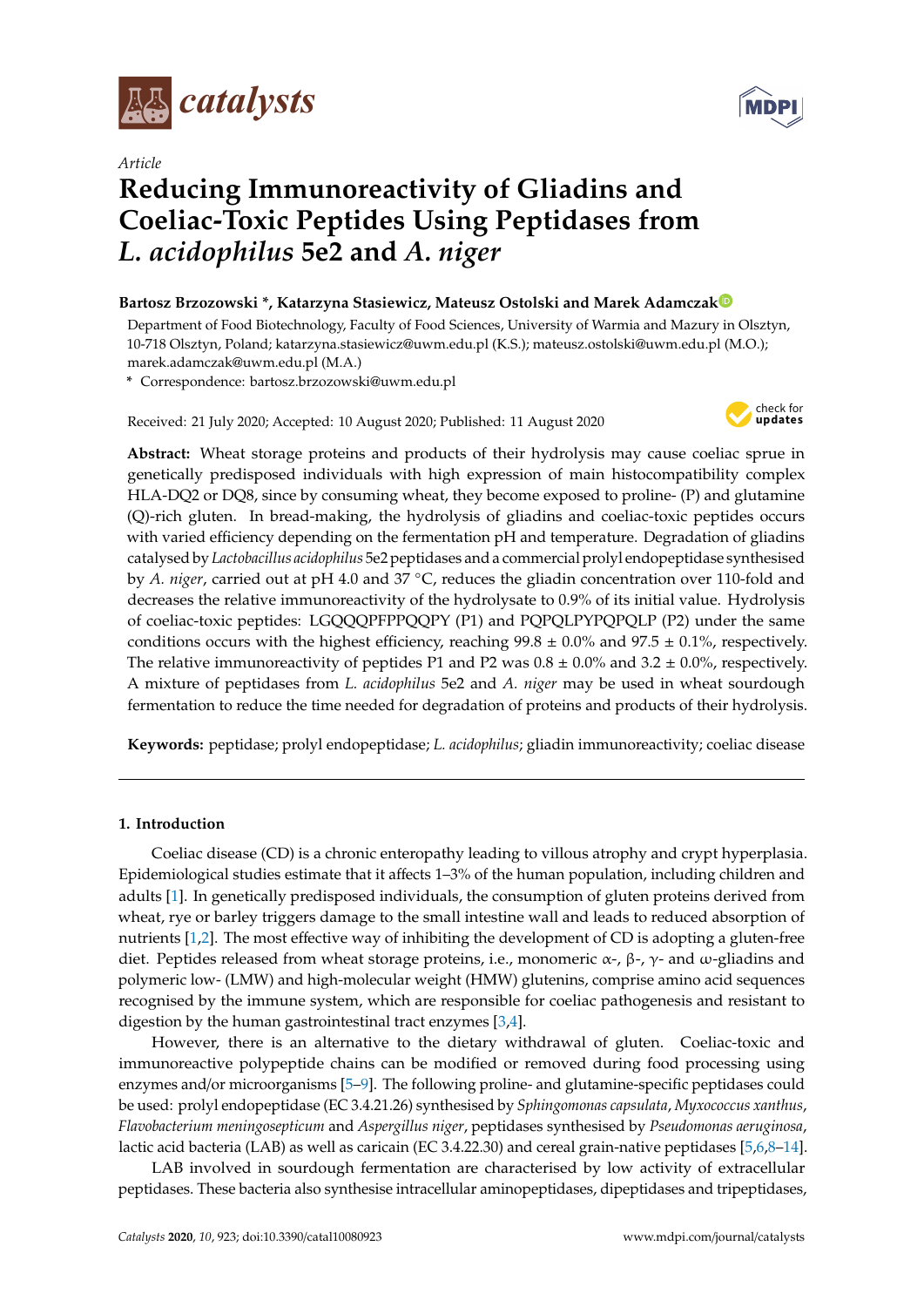



# **MDP**

# **Reducing Immunoreactivity of Gliadins and Coeliac-Toxic Peptides Using Peptidases from** *L. acidophilus* **5e2 and** *A. niger*

# **Bartosz Brzozowski \*, Katarzyna Stasiewicz, Mateusz Ostolski and Marek Adamcza[k](https://orcid.org/0000-0002-1418-4096)**

Department of Food Biotechnology, Faculty of Food Sciences, University of Warmia and Mazury in Olsztyn, 10-718 Olsztyn, Poland; katarzyna.stasiewicz@uwm.edu.pl (K.S.); mateusz.ostolski@uwm.edu.pl (M.O.); marek.adamczak@uwm.edu.pl (M.A.)

**\*** Correspondence: bartosz.brzozowski@uwm.edu.pl

Received: 21 July 2020; Accepted: 10 August 2020; Published: 11 August 2020



**Abstract:** Wheat storage proteins and products of their hydrolysis may cause coeliac sprue in genetically predisposed individuals with high expression of main histocompatibility complex HLA-DQ2 or DQ8, since by consuming wheat, they become exposed to proline- (P) and glutamine (Q)-rich gluten. In bread-making, the hydrolysis of gliadins and coeliac-toxic peptides occurs with varied efficiency depending on the fermentation pH and temperature. Degradation of gliadins catalysed by *Lactobacillus acidophilus* 5e2 peptidases and a commercial prolyl endopeptidase synthesised by *A. niger*, carried out at pH 4.0 and 37 ◦C, reduces the gliadin concentration over 110-fold and decreases the relative immunoreactivity of the hydrolysate to 0.9% of its initial value. Hydrolysis of coeliac-toxic peptides: LGQQQPFPPQQPY (P1) and PQPQLPYPQPQLP (P2) under the same conditions occurs with the highest efficiency, reaching  $99.8 \pm 0.0\%$  and  $97.5 \pm 0.1\%$ , respectively. The relative immunoreactivity of peptides P1 and P2 was  $0.8 \pm 0.0\%$  and  $3.2 \pm 0.0\%$ , respectively. A mixture of peptidases from *L. acidophilus* 5e2 and *A. niger* may be used in wheat sourdough fermentation to reduce the time needed for degradation of proteins and products of their hydrolysis.

**Keywords:** peptidase; prolyl endopeptidase; *L. acidophilus*; gliadin immunoreactivity; coeliac disease

# **1. Introduction**

Coeliac disease (CD) is a chronic enteropathy leading to villous atrophy and crypt hyperplasia. Epidemiological studies estimate that it affects 1–3% of the human population, including children and adults [\[1\]](#page-11-0). In genetically predisposed individuals, the consumption of gluten proteins derived from wheat, rye or barley triggers damage to the small intestine wall and leads to reduced absorption of nutrients [\[1](#page-11-0)[,2\]](#page-11-1). The most effective way of inhibiting the development of CD is adopting a gluten-free diet. Peptides released from wheat storage proteins, i.e., monomeric  $\alpha$ -,  $\beta$ -,  $\gamma$ - and ω-gliadins and polymeric low- (LMW) and high-molecular weight (HMW) glutenins, comprise amino acid sequences recognised by the immune system, which are responsible for coeliac pathogenesis and resistant to digestion by the human gastrointestinal tract enzymes [\[3,](#page-11-2)[4\]](#page-11-3).

However, there is an alternative to the dietary withdrawal of gluten. Coeliac-toxic and immunoreactive polypeptide chains can be modified or removed during food processing using enzymes and/or microorganisms [\[5–](#page-11-4)[9\]](#page-11-5). The following proline- and glutamine-specific peptidases could be used: prolyl endopeptidase (EC 3.4.21.26) synthesised by *Sphingomonas capsulata*, *Myxococcus xanthus*, *Flavobacterium meningosepticum* and *Aspergillus niger*, peptidases synthesised by *Pseudomonas aeruginosa*, lactic acid bacteria (LAB) as well as caricain (EC 3.4.22.30) and cereal grain-native peptidases [\[5,](#page-11-4)[6,](#page-11-6)[8–](#page-11-7)[14\]](#page-11-8).

LAB involved in sourdough fermentation are characterised by low activity of extracellular peptidases. These bacteria also synthesise intracellular aminopeptidases, dipeptidases and tripeptidases,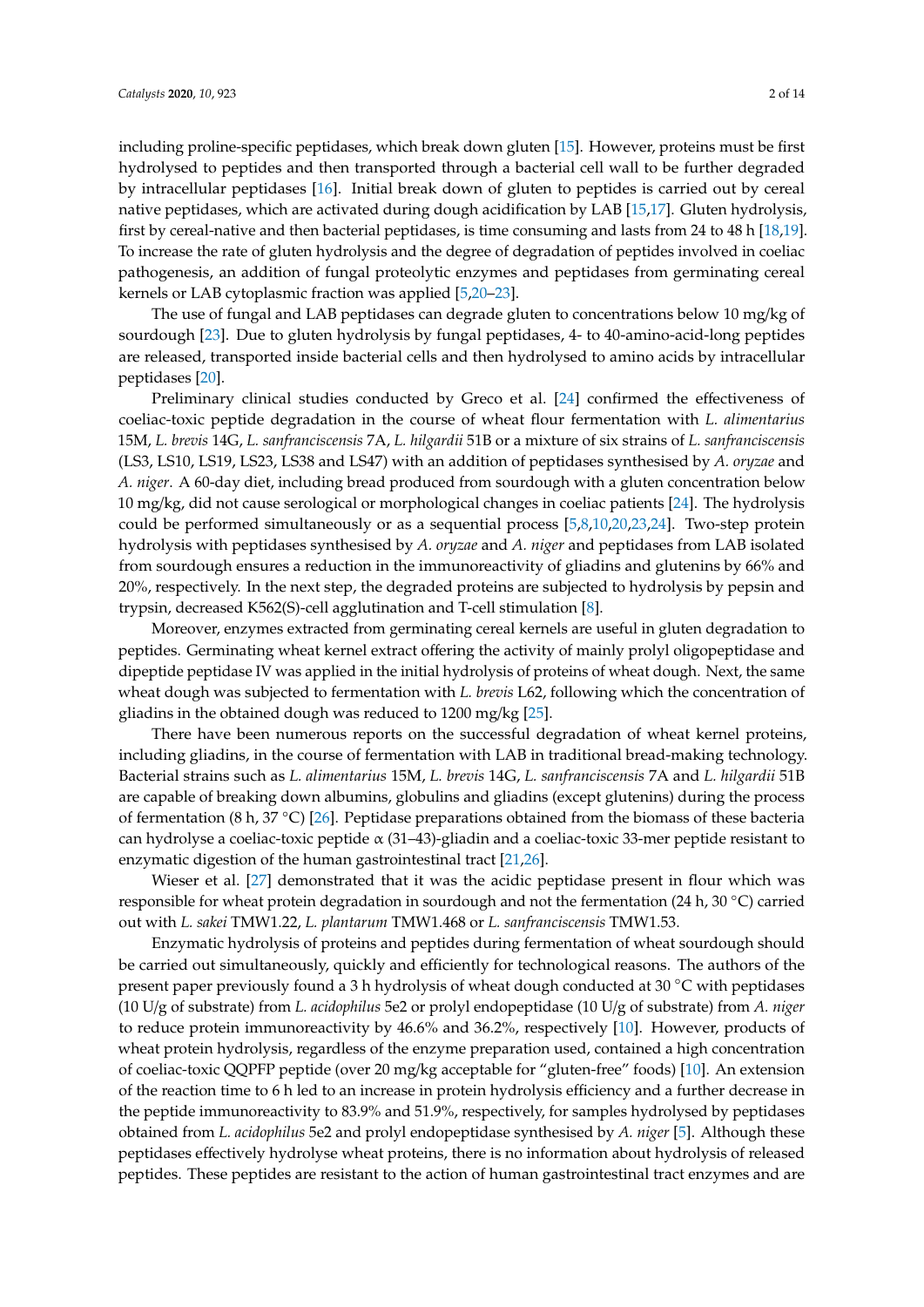including proline-specific peptidases, which break down gluten [\[15\]](#page-11-9). However, proteins must be first hydrolysed to peptides and then transported through a bacterial cell wall to be further degraded by intracellular peptidases [\[16\]](#page-11-10). Initial break down of gluten to peptides is carried out by cereal native peptidases, which are activated during dough acidification by LAB [\[15,](#page-11-9)[17\]](#page-11-11). Gluten hydrolysis, first by cereal-native and then bacterial peptidases, is time consuming and lasts from 24 to 48 h [\[18](#page-12-0)[,19\]](#page-12-1). To increase the rate of gluten hydrolysis and the degree of degradation of peptides involved in coeliac pathogenesis, an addition of fungal proteolytic enzymes and peptidases from germinating cereal kernels or LAB cytoplasmic fraction was applied [\[5,](#page-11-4)[20–](#page-12-2)[23\]](#page-12-3).

The use of fungal and LAB peptidases can degrade gluten to concentrations below 10 mg/kg of sourdough [\[23\]](#page-12-3). Due to gluten hydrolysis by fungal peptidases, 4- to 40-amino-acid-long peptides are released, transported inside bacterial cells and then hydrolysed to amino acids by intracellular peptidases [\[20\]](#page-12-2).

Preliminary clinical studies conducted by Greco et al. [\[24\]](#page-12-4) confirmed the effectiveness of coeliac-toxic peptide degradation in the course of wheat flour fermentation with *L. alimentarius* 15M, *L. brevis* 14G, *L. sanfranciscensis* 7A, *L. hilgardii* 51B or a mixture of six strains of *L. sanfranciscensis* (LS3, LS10, LS19, LS23, LS38 and LS47) with an addition of peptidases synthesised by *A. oryzae* and *A. niger*. A 60-day diet, including bread produced from sourdough with a gluten concentration below 10 mg/kg, did not cause serological or morphological changes in coeliac patients [\[24\]](#page-12-4). The hydrolysis could be performed simultaneously or as a sequential process [\[5](#page-11-4)[,8](#page-11-7)[,10](#page-11-12)[,20](#page-12-2)[,23](#page-12-3)[,24\]](#page-12-4). Two-step protein hydrolysis with peptidases synthesised by *A. oryzae* and *A. niger* and peptidases from LAB isolated from sourdough ensures a reduction in the immunoreactivity of gliadins and glutenins by 66% and 20%, respectively. In the next step, the degraded proteins are subjected to hydrolysis by pepsin and trypsin, decreased K562(S)-cell agglutination and T-cell stimulation [\[8\]](#page-11-7).

Moreover, enzymes extracted from germinating cereal kernels are useful in gluten degradation to peptides. Germinating wheat kernel extract offering the activity of mainly prolyl oligopeptidase and dipeptide peptidase IV was applied in the initial hydrolysis of proteins of wheat dough. Next, the same wheat dough was subjected to fermentation with *L. brevis* L62, following which the concentration of gliadins in the obtained dough was reduced to 1200 mg/kg [\[25\]](#page-12-5).

There have been numerous reports on the successful degradation of wheat kernel proteins, including gliadins, in the course of fermentation with LAB in traditional bread-making technology. Bacterial strains such as *L. alimentarius* 15M, *L. brevis* 14G, *L. sanfranciscensis* 7A and *L. hilgardii* 51B are capable of breaking down albumins, globulins and gliadins (except glutenins) during the process of fermentation (8 h, 37 °C) [\[26\]](#page-12-6). Peptidase preparations obtained from the biomass of these bacteria can hydrolyse a coeliac-toxic peptide  $\alpha$  (31–43)-gliadin and a coeliac-toxic 33-mer peptide resistant to enzymatic digestion of the human gastrointestinal tract [\[21](#page-12-7)[,26\]](#page-12-6).

Wieser et al. [\[27\]](#page-12-8) demonstrated that it was the acidic peptidase present in flour which was responsible for wheat protein degradation in sourdough and not the fermentation (24 h, 30 ◦C) carried out with *L. sakei* TMW1.22, *L. plantarum* TMW1.468 or *L. sanfranciscensis* TMW1.53.

Enzymatic hydrolysis of proteins and peptides during fermentation of wheat sourdough should be carried out simultaneously, quickly and efficiently for technological reasons. The authors of the present paper previously found a 3 h hydrolysis of wheat dough conducted at 30 ◦C with peptidases (10 U/g of substrate) from *L. acidophilus* 5e2 or prolyl endopeptidase (10 U/g of substrate) from *A. niger* to reduce protein immunoreactivity by 46.6% and 36.2%, respectively [\[10\]](#page-11-12). However, products of wheat protein hydrolysis, regardless of the enzyme preparation used, contained a high concentration of coeliac-toxic QQPFP peptide (over 20 mg/kg acceptable for "gluten-free" foods) [\[10\]](#page-11-12). An extension of the reaction time to 6 h led to an increase in protein hydrolysis efficiency and a further decrease in the peptide immunoreactivity to 83.9% and 51.9%, respectively, for samples hydrolysed by peptidases obtained from *L. acidophilus* 5e2 and prolyl endopeptidase synthesised by *A. niger* [\[5\]](#page-11-4). Although these peptidases effectively hydrolyse wheat proteins, there is no information about hydrolysis of released peptides. These peptides are resistant to the action of human gastrointestinal tract enzymes and are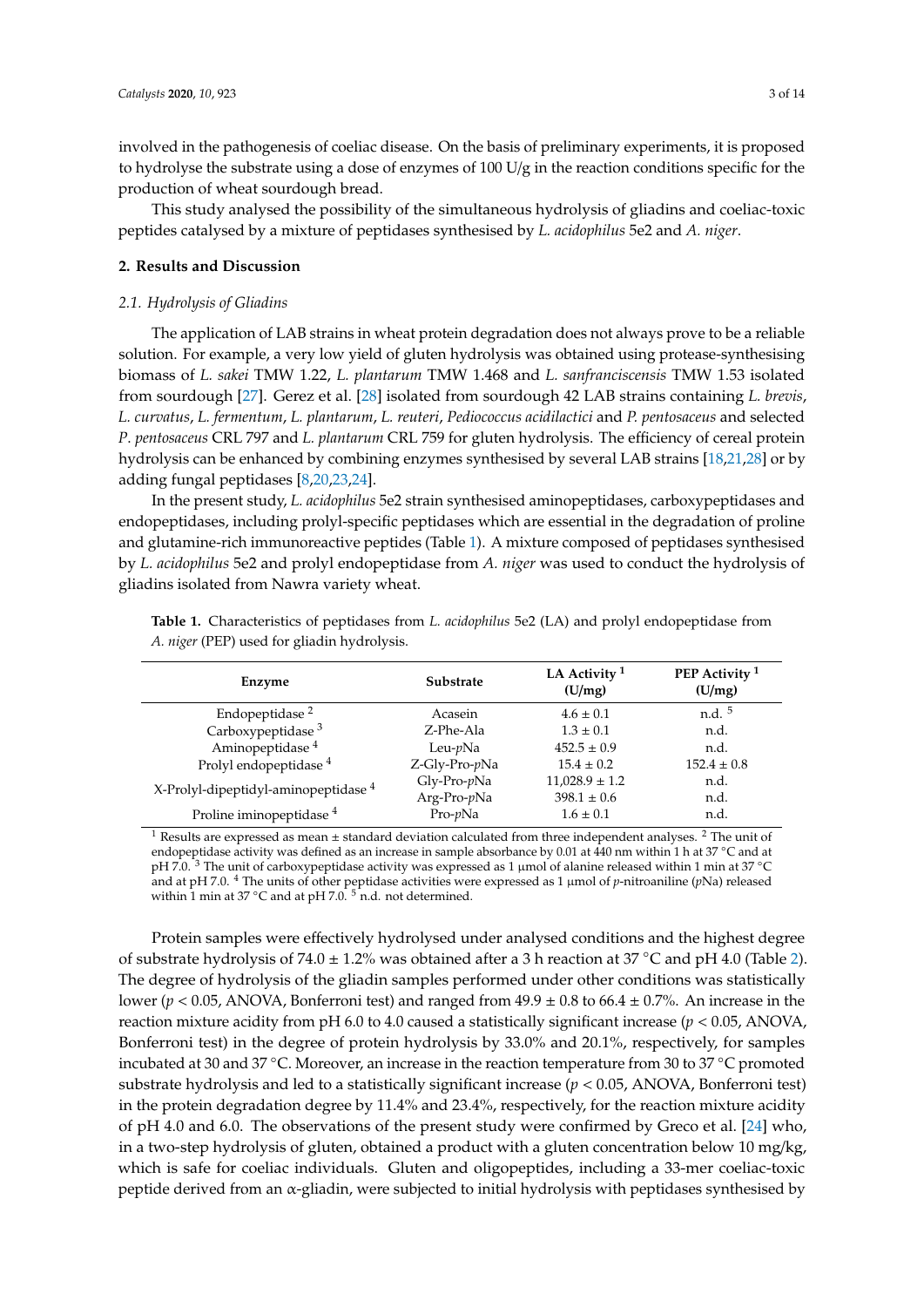involved in the pathogenesis of coeliac disease. On the basis of preliminary experiments, it is proposed to hydrolyse the substrate using a dose of enzymes of 100 U/g in the reaction conditions specific for the production of wheat sourdough bread.

This study analysed the possibility of the simultaneous hydrolysis of gliadins and coeliac-toxic peptides catalysed by a mixture of peptidases synthesised by *L. acidophilus* 5e2 and *A. niger*.

### **2. Results and Discussion**

#### *2.1. Hydrolysis of Gliadins*

The application of LAB strains in wheat protein degradation does not always prove to be a reliable solution. For example, a very low yield of gluten hydrolysis was obtained using protease-synthesising biomass of *L. sakei* TMW 1.22, *L. plantarum* TMW 1.468 and *L. sanfranciscensis* TMW 1.53 isolated from sourdough [\[27\]](#page-12-8). Gerez et al. [\[28\]](#page-12-9) isolated from sourdough 42 LAB strains containing *L. brevis*, *L. curvatus*, *L. fermentum*, *L. plantarum*, *L. reuteri*, *Pediococcus acidilactici* and *P. pentosaceus* and selected *P*. *pentosaceus* CRL 797 and *L. plantarum* CRL 759 for gluten hydrolysis. The efficiency of cereal protein hydrolysis can be enhanced by combining enzymes synthesised by several LAB strains [\[18,](#page-12-0)[21,](#page-12-7)[28\]](#page-12-9) or by adding fungal peptidases [\[8](#page-11-7)[,20](#page-12-2)[,23](#page-12-3)[,24\]](#page-12-4).

In the present study, *L. acidophilus* 5e2 strain synthesised aminopeptidases, carboxypeptidases and endopeptidases, including prolyl-specific peptidases which are essential in the degradation of proline and glutamine-rich immunoreactive peptides (Table [1\)](#page-2-0). A mixture composed of peptidases synthesised by *L. acidophilus* 5e2 and prolyl endopeptidase from *A. niger* was used to conduct the hydrolysis of gliadins isolated from Nawra variety wheat.

| Enzyme                                          | LA Activity <sup>1</sup><br>Substrate<br>(U/mg) |                    | PEP Activity <sup>1</sup><br>(U/mg) |  |
|-------------------------------------------------|-------------------------------------------------|--------------------|-------------------------------------|--|
| Endopeptidase <sup>2</sup>                      | Acasein                                         | $4.6 \pm 0.1$      | $n.d.$ <sup>5</sup>                 |  |
| Carboxypeptidase <sup>3</sup>                   | Z-Phe-Ala                                       | $1.3 \pm 0.1$      | n.d.                                |  |
| Aminopeptidase <sup>4</sup>                     | Leu- $p$ Na                                     | $452.5 \pm 0.9$    | n.d.                                |  |
| Prolyl endopeptidase <sup>4</sup>               | Z-Gly-Pro-pNa                                   | $15.4 \pm 0.2$     | $152.4 \pm 0.8$                     |  |
| X-Prolyl-dipeptidyl-aminopeptidase <sup>4</sup> | $Gly-Pro-pNa$                                   | $11,028.9 \pm 1.2$ | n.d.                                |  |
|                                                 | Arg-Pro-pNa                                     | $398.1 \pm 0.6$    | n.d.                                |  |
| Proline iminopeptidase <sup>4</sup>             | $Pro\n-pNa$                                     | $1.6 \pm 0.1$      | n.d.                                |  |

<span id="page-2-0"></span>**Table 1.** Characteristics of peptidases from *L. acidophilus* 5e2 (LA) and prolyl endopeptidase from *A. niger* (PEP) used for gliadin hydrolysis.

<sup>1</sup> Results are expressed as mean  $\pm$  standard deviation calculated from three independent analyses. <sup>2</sup> The unit of endopeptidase activity was defined as an increase in sample absorbance by 0.01 at 440 nm within 1 h at 37 °C and at pH 7.0.<sup>3</sup> The unit of carboxypeptidase activity was expressed as 1 µmol of alanine released within 1 min at 37 °C and at pH 7.0. <sup>4</sup> The units of other peptidase activities were expressed as 1 µmol of *p*-nitroaniline (*p*Na) released within 1 min at 37 °C and at pH 7.0. <sup>5</sup> n.d. not determined.

Protein samples were effectively hydrolysed under analysed conditions and the highest degree of substrate hydrolysis of 74.0 ± 1.2% was obtained after a 3 h reaction at 37 °C and pH 4.0 (Table [2\)](#page-3-0). The degree of hydrolysis of the gliadin samples performed under other conditions was statistically lower ( $p < 0.05$ , ANOVA, Bonferroni test) and ranged from  $49.9 \pm 0.8$  to  $66.4 \pm 0.7$ %. An increase in the reaction mixture acidity from pH 6.0 to 4.0 caused a statistically significant increase (*p* < 0.05, ANOVA, Bonferroni test) in the degree of protein hydrolysis by 33.0% and 20.1%, respectively, for samples incubated at 30 and 37 ◦C. Moreover, an increase in the reaction temperature from 30 to 37 ◦C promoted substrate hydrolysis and led to a statistically significant increase (*p* < 0.05, ANOVA, Bonferroni test) in the protein degradation degree by 11.4% and 23.4%, respectively, for the reaction mixture acidity of pH 4.0 and 6.0. The observations of the present study were confirmed by Greco et al. [\[24\]](#page-12-4) who, in a two-step hydrolysis of gluten, obtained a product with a gluten concentration below 10 mg/kg, which is safe for coeliac individuals. Gluten and oligopeptides, including a 33-mer coeliac-toxic peptide derived from an α-gliadin, were subjected to initial hydrolysis with peptidases synthesised by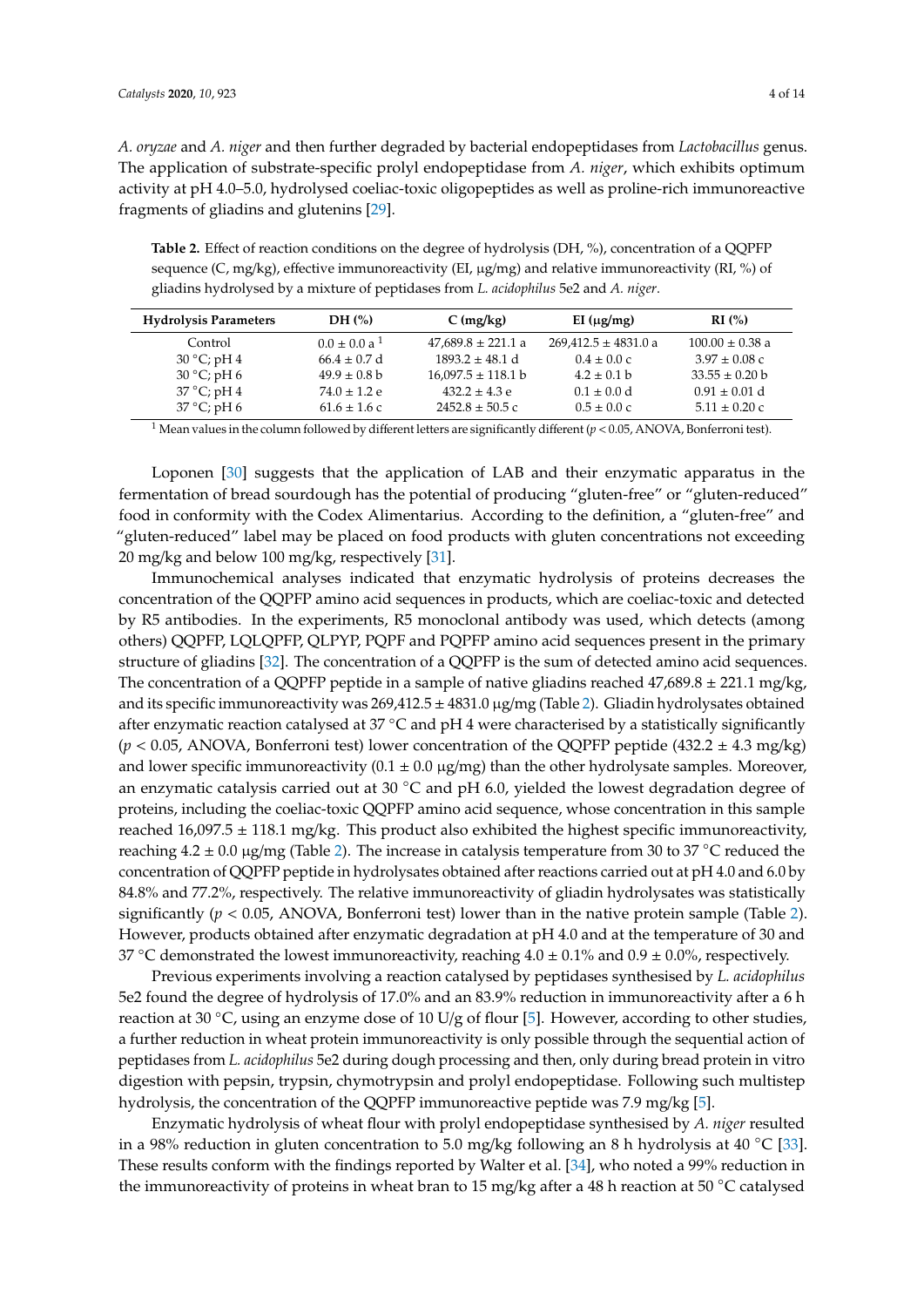*A. oryzae* and *A. niger* and then further degraded by bacterial endopeptidases from *Lactobacillus* genus. The application of substrate-specific prolyl endopeptidase from *A. niger*, which exhibits optimum activity at pH 4.0–5.0, hydrolysed coeliac-toxic oligopeptides as well as proline-rich immunoreactive fragments of gliadins and glutenins [\[29\]](#page-12-10).

<span id="page-3-0"></span>**Table 2.** Effect of reaction conditions on the degree of hydrolysis (DH, %), concentration of a QQPFP sequence (C, mg/kg), effective immunoreactivity (EI,  $\mu$ g/mg) and relative immunoreactivity (RI, %) of gliadins hydrolysed by a mixture of peptidases from *L. acidophilus* 5e2 and *A. niger*.

| <b>Hydrolysis Parameters</b> | DH $(\%)$           | $C$ (mg/kg)            | EI $(\mu g/mg)$          | RI(%)               |
|------------------------------|---------------------|------------------------|--------------------------|---------------------|
| Control                      | $0.0 \pm 0.0 a^{1}$ | $47,689.8 \pm 221.1$ a | $269,412.5 \pm 4831.0$ a | $100.00 \pm 0.38$ a |
| $30^{\circ}$ C; pH 4         | $66.4 \pm 0.7$ d    | $1893.2 \pm 48.1$ d    | $0.4 \pm 0.0 \text{ c}$  | $3.97 \pm 0.08$ c   |
| $30^{\circ}$ C; pH 6         | $49.9 \pm 0.8$ b    | $16,097.5 \pm 118.1 b$ | $4.2 \pm 0.1$ b          | $33.55 \pm 0.20$ b  |
| $37^{\circ}$ C; pH 4         | $74.0 \pm 1.2$ e    | $432.2 \pm 4.3$ e      | $0.1 \pm 0.0 d$          | $0.91 \pm 0.01$ d   |
| $37^{\circ}$ C; pH 6         | $61.6 \pm 1.6$ c    | $2452.8 \pm 50.5$ c    | $0.5 \pm 0.0 \text{ c}$  | $5.11 \pm 0.20$ c   |

<sup>1</sup> Mean values in the column followed by different letters are significantly different  $(p < 0.05, ANOVA, Bonferroni test)$ .

Loponen [\[30\]](#page-12-11) suggests that the application of LAB and their enzymatic apparatus in the fermentation of bread sourdough has the potential of producing "gluten-free" or "gluten-reduced" food in conformity with the Codex Alimentarius. According to the definition, a "gluten-free" and "gluten-reduced" label may be placed on food products with gluten concentrations not exceeding 20 mg/kg and below 100 mg/kg, respectively [\[31\]](#page-12-12).

Immunochemical analyses indicated that enzymatic hydrolysis of proteins decreases the concentration of the QQPFP amino acid sequences in products, which are coeliac-toxic and detected by R5 antibodies. In the experiments, R5 monoclonal antibody was used, which detects (among others) QQPFP, LQLQPFP, QLPYP, PQPF and PQPFP amino acid sequences present in the primary structure of gliadins [\[32\]](#page-12-13). The concentration of a QQPFP is the sum of detected amino acid sequences. The concentration of a QQPFP peptide in a sample of native gliadins reached  $47,689.8 \pm 221.1$  mg/kg, and its specific immunoreactivity was 269,412.5 ± 4831.0 µg/mg (Table [2\)](#page-3-0). Gliadin hydrolysates obtained after enzymatic reaction catalysed at 37 °C and pH 4 were characterised by a statistically significantly (*p* < 0.05, ANOVA, Bonferroni test) lower concentration of the QQPFP peptide (432.2 ± 4.3 mg/kg) and lower specific immunoreactivity  $(0.1 \pm 0.0 \,\mu g/mg)$  than the other hydrolysate samples. Moreover, an enzymatic catalysis carried out at 30 ◦C and pH 6.0, yielded the lowest degradation degree of proteins, including the coeliac-toxic QQPFP amino acid sequence, whose concentration in this sample reached  $16,097.5 \pm 118.1$  mg/kg. This product also exhibited the highest specific immunoreactivity, reaching  $4.2 \pm 0.0$  µg/mg (Table [2\)](#page-3-0). The increase in catalysis temperature from 30 to 37 °C reduced the concentration of QQPFP peptide in hydrolysates obtained after reactions carried out at pH 4.0 and 6.0 by 84.8% and 77.2%, respectively. The relative immunoreactivity of gliadin hydrolysates was statistically significantly ( $p < 0.05$ , ANOVA, Bonferroni test) lower than in the native protein sample (Table [2\)](#page-3-0). However, products obtained after enzymatic degradation at pH 4.0 and at the temperature of 30 and 37 °C demonstrated the lowest immunoreactivity, reaching  $4.0 \pm 0.1\%$  and  $0.9 \pm 0.0\%$ , respectively.

Previous experiments involving a reaction catalysed by peptidases synthesised by *L. acidophilus* 5e2 found the degree of hydrolysis of 17.0% and an 83.9% reduction in immunoreactivity after a 6 h reaction at 30 ◦C, using an enzyme dose of 10 U/g of flour [\[5\]](#page-11-4). However, according to other studies, a further reduction in wheat protein immunoreactivity is only possible through the sequential action of peptidases from *L. acidophilus* 5e2 during dough processing and then, only during bread protein in vitro digestion with pepsin, trypsin, chymotrypsin and prolyl endopeptidase. Following such multistep hydrolysis, the concentration of the QQPFP immunoreactive peptide was 7.9 mg/kg [\[5\]](#page-11-4).

Enzymatic hydrolysis of wheat flour with prolyl endopeptidase synthesised by *A. niger* resulted in a 98% reduction in gluten concentration to 5.0 mg/kg following an 8 h hydrolysis at 40 °C [\[33\]](#page-12-14). These results conform with the findings reported by Walter et al. [\[34\]](#page-12-15), who noted a 99% reduction in the immunoreactivity of proteins in wheat bran to 15 mg/kg after a 48 h reaction at 50 °C catalysed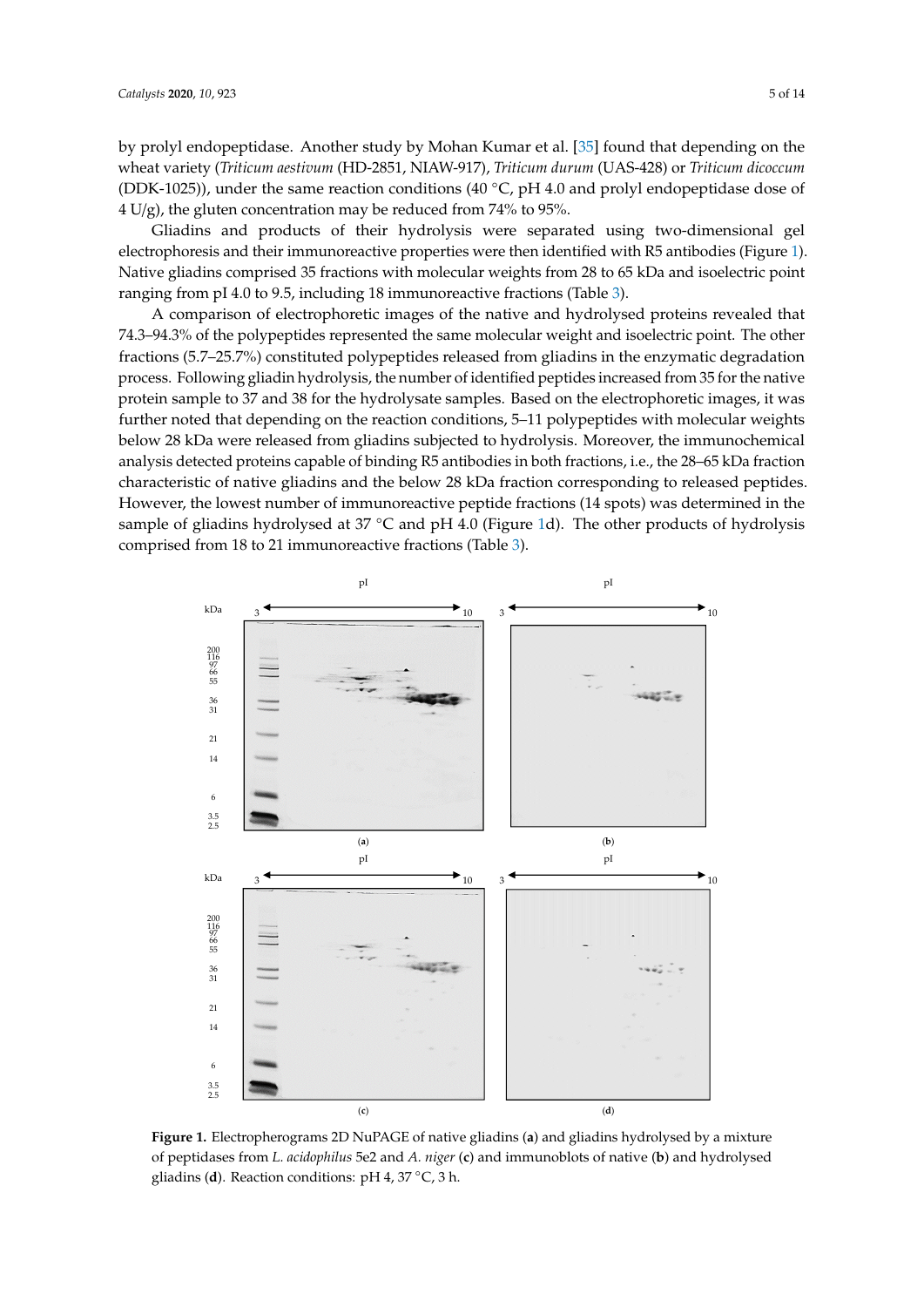by prolyl endopeptidase. Another study by Mohan Kumar et al. [\[35\]](#page-12-16) found that depending on the wheat variety (*Triticum aestivum* (HD-2851, NIAW-917), *Triticum durum* (UAS-428) or *Triticum dicoccum* (DDK-1025)), under the same reaction conditions (40 ◦C, pH 4.0 and prolyl endopeptidase dose of 4 U/g), the gluten concentration may be reduced from 74% to 95%.

Gliadins and products of their hydrolysis were separated using two-dimensional gel electrophoresis and their immunoreactive properties were then identified with R5 antibodies (Figure [1\)](#page-4-0). Native gliadins comprised 35 fractions with molecular weights from 28 to 65 kDa and isoelectric point ranging from pI 4.0 to 9.5, including 18 immunoreactive fractions (Table [3\)](#page-5-0).

A comparison of electrophoretic images of the native and hydrolysed proteins revealed that 74.3–94.3% of the polypeptides represented the same molecular weight and isoelectric point. The other fractions (5.7–25.7%) constituted polypeptides released from gliadins in the enzymatic degradation process. Following gliadin hydrolysis, the number of identified peptides increased from 35 for the native protein sample to 37 and 38 for the hydrolysate samples. Based on the electrophoretic images, it was further noted that depending on the reaction conditions, 5–11 polypeptides with molecular weights below 28 kDa were released from gliadins subjected to hydrolysis. Moreover, the immunochemical analysis detected proteins capable of binding R5 antibodies in both fractions, i.e., the 28–65 kDa fraction characteristic of native gliadins and the below 28 kDa fraction corresponding to released peptides. However, the lowest number of immunoreactive peptide fractions (14 spots) was determined in the sample of gliadins hydrolysed at 37 °C and pH 4.0 (Figure [1d](#page-4-0)). The other products of hydrolysis comprised from 18 to 21 immunoreactive fractions (Table [3\)](#page-5-0).

<span id="page-4-0"></span>

**Figure 1.** Electropherograms 2D NuPAGE of native gliadins (**a**) and gliadins hydrolysed by a mixture **Figure 1.** Electropherograms 2D NuPAGE of native gliadins (**a**) and gliadins hydrolysed by a mixture of peptidases from *L. acidophilus* 5e2 and *A. niger* (**c**) and immunoblots of native (**b**) and hydrolysed of peptidases from *L. acidophilus* 5e2 and *A. niger* (c) and immunoblots of native (**b**) and hydrolysed gliadins (**d**). Reaction conditions: pH 4, 37 ◦C, 3 h.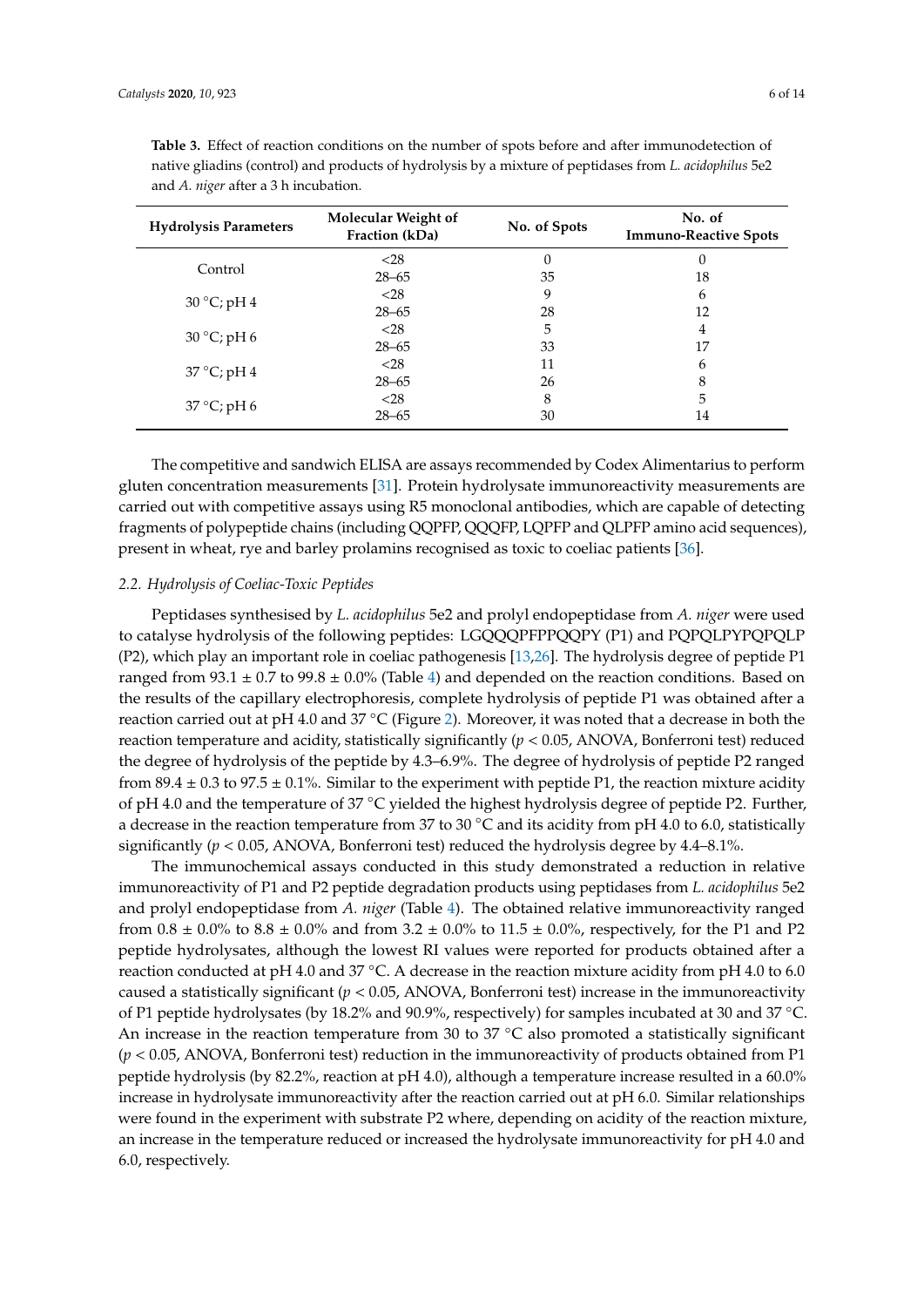| <b>Hydrolysis Parameters</b> | Molecular Weight of<br>Fraction (kDa) | No. of Spots | No. of<br><b>Immuno-Reactive Spots</b> |  |
|------------------------------|---------------------------------------|--------------|----------------------------------------|--|
| Control                      | $<$ 28                                | O            | 0                                      |  |
|                              | $28 - 65$                             | 35           | 18                                     |  |
| $30^{\circ}$ C; pH 4         | $<$ 28                                | 9            | 6                                      |  |
|                              | $28 - 65$                             | 28           | 12                                     |  |
| $30^{\circ}$ C; pH 6         | $<$ 28                                | 5            | 4                                      |  |
|                              | $28 - 65$                             | 33           | 17                                     |  |
| $37^{\circ}$ C; pH 4         | $<$ 28                                | 11           | 6                                      |  |
|                              | $28 - 65$                             | 26           | 8                                      |  |
| $37^{\circ}$ C; pH 6         | $<$ 28                                | 8            | 5                                      |  |
|                              | $28 - 65$                             | 30           | 14                                     |  |

<span id="page-5-0"></span>**Table 3.** Effect of reaction conditions on the number of spots before and after immunodetection of native gliadins (control) and products of hydrolysis by a mixture of peptidases from *L. acidophilus* 5e2 and *A. niger* after a 3 h incubation.

The competitive and sandwich ELISA are assays recommended by Codex Alimentarius to perform gluten concentration measurements [\[31\]](#page-12-12). Protein hydrolysate immunoreactivity measurements are carried out with competitive assays using R5 monoclonal antibodies, which are capable of detecting fragments of polypeptide chains (including QQPFP, QQQFP, LQPFP and QLPFP amino acid sequences), present in wheat, rye and barley prolamins recognised as toxic to coeliac patients [\[36\]](#page-12-17).

#### *2.2. Hydrolysis of Coeliac-Toxic Peptides*

Peptidases synthesised by *L. acidophilus* 5e2 and prolyl endopeptidase from *A. niger* were used to catalyse hydrolysis of the following peptides: LGQQQPFPPQQPY (P1) and PQPQLPYPQPQLP (P2), which play an important role in coeliac pathogenesis [\[13](#page-11-13)[,26\]](#page-12-6). The hydrolysis degree of peptide P1 ranged from  $93.1 \pm 0.7$  to  $99.8 \pm 0.0\%$  (Table [4\)](#page-6-0) and depended on the reaction conditions. Based on the results of the capillary electrophoresis, complete hydrolysis of peptide P1 was obtained after a reaction carried out at pH 4.0 and 37 ◦C (Figure [2\)](#page-6-1). Moreover, it was noted that a decrease in both the reaction temperature and acidity, statistically significantly  $(p < 0.05$ , ANOVA, Bonferroni test) reduced the degree of hydrolysis of the peptide by 4.3–6.9%. The degree of hydrolysis of peptide P2 ranged from  $89.4 \pm 0.3$  to  $97.5 \pm 0.1\%$ . Similar to the experiment with peptide P1, the reaction mixture acidity of pH 4.0 and the temperature of 37 ◦C yielded the highest hydrolysis degree of peptide P2. Further, a decrease in the reaction temperature from 37 to 30  $°C$  and its acidity from pH 4.0 to 6.0, statistically significantly ( $p < 0.05$ , ANOVA, Bonferroni test) reduced the hydrolysis degree by 4.4–8.1%.

The immunochemical assays conducted in this study demonstrated a reduction in relative immunoreactivity of P1 and P2 peptide degradation products using peptidases from *L. acidophilus* 5e2 and prolyl endopeptidase from *A. niger* (Table [4\)](#page-6-0). The obtained relative immunoreactivity ranged from  $0.8 \pm 0.0\%$  to  $8.8 \pm 0.0\%$  and from  $3.2 \pm 0.0\%$  to  $11.5 \pm 0.0\%$ , respectively, for the P1 and P2 peptide hydrolysates, although the lowest RI values were reported for products obtained after a reaction conducted at pH 4.0 and 37 ◦C. A decrease in the reaction mixture acidity from pH 4.0 to 6.0 caused a statistically significant ( $p < 0.05$ , ANOVA, Bonferroni test) increase in the immunoreactivity of P1 peptide hydrolysates (by 18.2% and 90.9%, respectively) for samples incubated at 30 and 37 ◦C. An increase in the reaction temperature from 30 to 37 °C also promoted a statistically significant (*p* < 0.05, ANOVA, Bonferroni test) reduction in the immunoreactivity of products obtained from P1 peptide hydrolysis (by 82.2%, reaction at pH 4.0), although a temperature increase resulted in a 60.0% increase in hydrolysate immunoreactivity after the reaction carried out at pH 6.0. Similar relationships were found in the experiment with substrate P2 where, depending on acidity of the reaction mixture, an increase in the temperature reduced or increased the hydrolysate immunoreactivity for pH 4.0 and 6.0, respectively.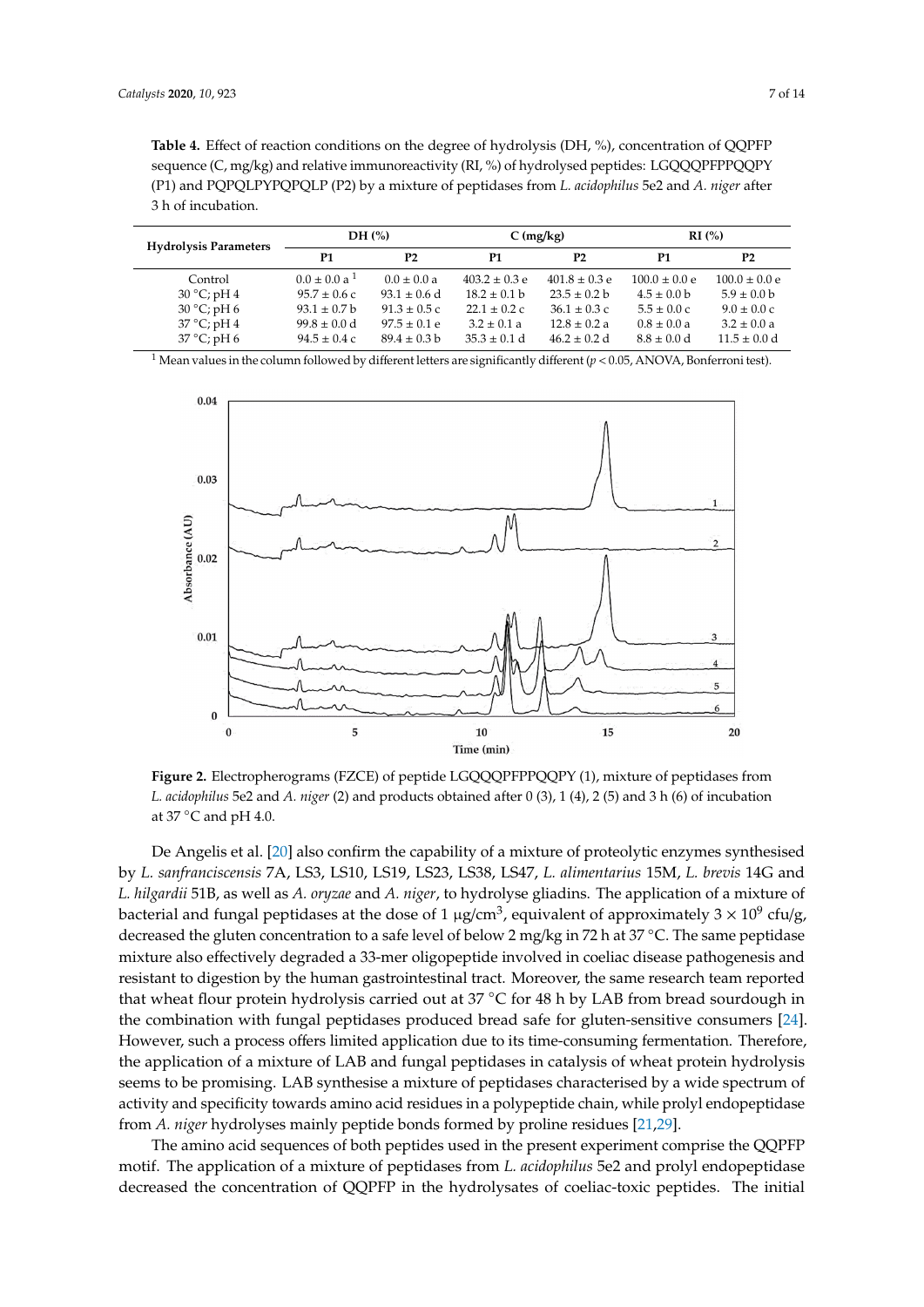<span id="page-6-0"></span>**Table 4.** Effect of reaction conditions on the degree of hydrolysis (DH, %), concentration of QQPFP sequence (C, mg/kg) and relative immunoreactivity (RL %) of hydrolysed peptides: LGOOOPFPPOOPY (P1) and PQPQLPYPQPQLP (P2) by a mixture of peptidases from *L. acidophilus* 5e2 and *A. niger* after 3 h of incubation.

| <b>Hydrolysis Parameters</b> | DH $(\%)$           |                  | $C$ (mg/kg)       |                   | RI(%)                   |                         |
|------------------------------|---------------------|------------------|-------------------|-------------------|-------------------------|-------------------------|
|                              | P1                  | P <sub>2</sub>   | P1                | P <sub>2</sub>    | P1                      | P <sub>2</sub>          |
| Control                      | $0.0 \pm 0.0 a^{1}$ | $0.0 \pm 0.0 a$  | $403.2 \pm 0.3$ e | $401.8 \pm 0.3$ e | $100.0 \pm 0.0 e$       | $100.0 \pm 0.0 e$       |
| $30^{\circ}$ C; pH 4         | $95.7 \pm 0.6$ c    | $93.1 \pm 0.6$ d | $18.2 \pm 0.1$ b  | $23.5 \pm 0.2 b$  | $4.5 \pm 0.0$ b         | $5.9 \pm 0.0 b$         |
| $30^{\circ}$ C; pH 6         | $93.1 \pm 0.7$ b    | $91.3 \pm 0.5$ c | $22.1 \pm 0.2$ c  | $36.1 \pm 0.3$ c  | $5.5 \pm 0.0 \text{ c}$ | $9.0 \pm 0.0 \text{ c}$ |
| $37^{\circ}$ C; pH 4         | $99.8 \pm 0.0$ d    | $97.5 \pm 0.1$ e | $3.2 \pm 0.1 a$   | $12.8 \pm 0.2 a$  | $0.8 \pm 0.0 a$         | $3.2 \pm 0.0 a$         |
| $37^{\circ}$ C; pH 6         | $94.5 \pm 0.4$ c    | $89.4 \pm 0.3$ b | $35.3 \pm 0.1 d$  | $46.2 \pm 0.2$ d  | $8.8 \pm 0.0 d$         | $11.5 \pm 0.0$ d        |

<span id="page-6-1"></span><sup>1</sup> Mean values in the column followed by different letters are significantly different ( $p$  < 0.05, ANOVA, Bonferroni test).



*L. acidophilus* 5e2 and *A. niger* (2) and products obtained after 0 (3), 1 (4), 2 (5) and 3 h (6) of incubation *L. acidophilus* 5e2 and *A. niger* (2) and products obtained after 0 (3), 1 (4), 2 (5) and 3 h (6) of incubation at 37  $\degree$ C and pH 4.0. **Figure 2.** Electropherograms (FZCE) of peptide LGQQQPFPPQQPY (1), mixture of peptidases from

by L. sanfranciscensis 7A, LS3, LS10, LS19, LS23, LS38, LS47, L. alimentarius 15M, L. brevis 14G and sequence (C, mg/kg) and relative immunoreactivity (RI, %) of hydrolysed peptides: *L. hilgardii* 51B, as well as *A. oryzae* and *A. niger*, to hydrolyse gliadins. The application of a mixture of bacterial and fungal peptidases at the dose of 1  $\mu$ g/cm<sup>3</sup>, equivalent of approximately 3 × 10<sup>9</sup> cfu/g, decreased the gluten concentration to a safe level of below 2 mg/kg in 72 h at 37 °C. The same peptidase **Hydrolysis DH (%) C (mg/kg) RI (%)**  mixture also effectively degraded a 33-mer oligopeptide involved in coeliac disease pathogenesis and resistant to digestion by the human gastrointestinal tract. Moreover, the same research team reported that wheat flour protein hydrolysis carried out at 37 °C for 48 h by LAB from bread sourdough in the combination with fungal peptidases produced bread safe for gluten-sensitive consumers [\[24\]](#page-12-4). However, such a process offers limited application due to its time-consuming fermentation. Therefore,  $\frac{3}{2}$   $\frac{1}{2}$   $\frac{1}{2}$   $\frac{1}{2}$   $\frac{1}{2}$   $\frac{1}{2}$   $\frac{1}{2}$   $\frac{1}{2}$   $\frac{1}{2}$   $\frac{1}{2}$   $\frac{1}{2}$   $\frac{1}{2}$   $\frac{1}{2}$   $\frac{1}{2}$   $\frac{1}{2}$   $\frac{1}{2}$   $\frac{1}{2}$   $\frac{1}{2}$   $\frac{1}{2}$   $\frac{1}{2}$   $\frac{1}{2}$   $\frac{1}{2}$  the application of a mixture of LAB and fungal peptidases in catalysis of wheat protein hydrolysis<br>
expansion the contract of the contract of the contract of the contract of the contract of the contract of the<br>
the applica seems to be promising. LAB synthesise a mixture of peptidases characterised by a wide spectrum of activity and specificity towards amino acid residues in a polypeptide chain, while prolyl endopeptidase<br>Consider the chain distribution of the chain distribution of the consideration of the consideration of the con De Angelis et al. [\[20\]](#page-12-2) also confirm the capability of a mixture of proteolytic enzymes synthesised from *A. niger* hydrolyses mainly peptide bonds formed by proline residues [\[21](#page-12-7)[,29\]](#page-12-10).

The amino acid sequences of both peptides used in the present experiment comprise the QQPFP motif. The application of a mixture of peptidases from *L. acidophilus* 5e2 and prolyl endopeptidase decreased the concentration of QQPFP in the hydrolysates of coeliac-toxic peptides. The initial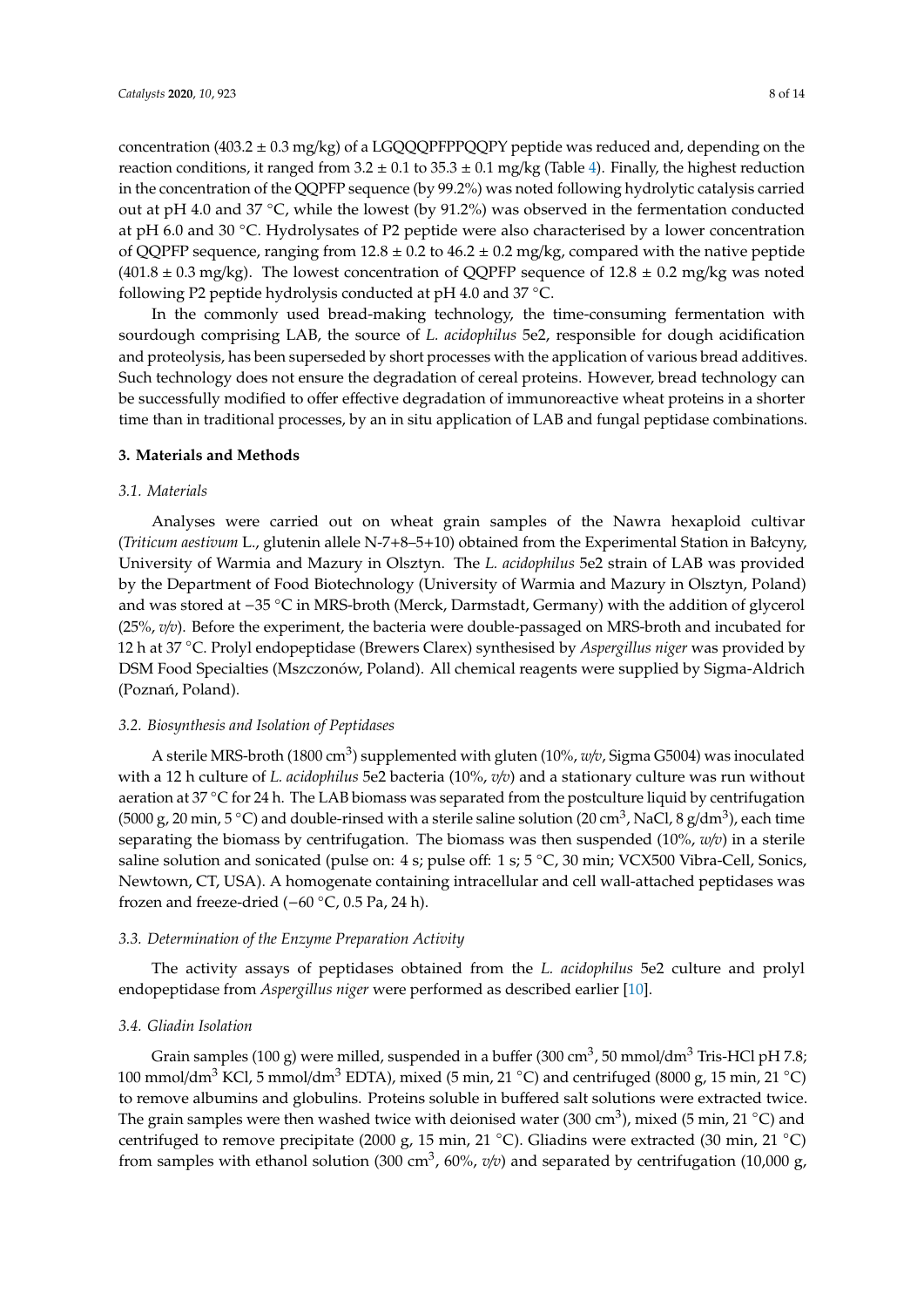concentration (403.2  $\pm$  0.3 mg/kg) of a LGQQQPFPPQQPY peptide was reduced and, depending on the reaction conditions, it ranged from  $3.2 \pm 0.1$  to  $35.3 \pm 0.1$  mg/kg (Table [4\)](#page-6-0). Finally, the highest reduction in the concentration of the QQPFP sequence (by 99.2%) was noted following hydrolytic catalysis carried out at pH 4.0 and 37 ◦C, while the lowest (by 91.2%) was observed in the fermentation conducted at pH 6.0 and 30 ◦C. Hydrolysates of P2 peptide were also characterised by a lower concentration of QQPFP sequence, ranging from  $12.8 \pm 0.2$  to  $46.2 \pm 0.2$  mg/kg, compared with the native peptide  $(401.8 \pm 0.3 \text{ mg/kg})$ . The lowest concentration of QQPFP sequence of  $12.8 \pm 0.2 \text{ mg/kg}$  was noted following P2 peptide hydrolysis conducted at pH 4.0 and 37 ◦C.

In the commonly used bread-making technology, the time-consuming fermentation with sourdough comprising LAB, the source of *L. acidophilus* 5e2, responsible for dough acidification and proteolysis, has been superseded by short processes with the application of various bread additives. Such technology does not ensure the degradation of cereal proteins. However, bread technology can be successfully modified to offer effective degradation of immunoreactive wheat proteins in a shorter time than in traditional processes, by an in situ application of LAB and fungal peptidase combinations.

#### **3. Materials and Methods**

#### *3.1. Materials*

Analyses were carried out on wheat grain samples of the Nawra hexaploid cultivar (*Triticum aestivum* L., glutenin allele N-7+8–5+10) obtained from the Experimental Station in Bałcyny, University of Warmia and Mazury in Olsztyn. The *L. acidophilus* 5e2 strain of LAB was provided by the Department of Food Biotechnology (University of Warmia and Mazury in Olsztyn, Poland) and was stored at −35 ◦C in MRS-broth (Merck, Darmstadt, Germany) with the addition of glycerol (25%, *v*/*v*). Before the experiment, the bacteria were double-passaged on MRS-broth and incubated for 12 h at 37 ◦C. Prolyl endopeptidase (Brewers Clarex) synthesised by *Aspergillus niger* was provided by DSM Food Specialties (Mszczonów, Poland). All chemical reagents were supplied by Sigma-Aldrich (Poznań, Poland).

#### *3.2. Biosynthesis and Isolation of Peptidases*

A sterile MRS-broth (1800 cm<sup>3</sup>) supplemented with gluten (10%*, w/v,* Sigma G5004) was inoculated with a 12 h culture of *L. acidophilus* 5e2 bacteria (10%, *v*/*v*) and a stationary culture was run without aeration at 37 °C for 24 h. The LAB biomass was separated from the postculture liquid by centrifugation (5000 g, 20 min, 5 °C) and double-rinsed with a sterile saline solution (20 cm<sup>3</sup>, NaCl, 8 g/dm<sup>3</sup>), each time separating the biomass by centrifugation. The biomass was then suspended (10%, *w*/*v*) in a sterile saline solution and sonicated (pulse on: 4 s; pulse off: 1 s; 5 °C, 30 min; VCX500 Vibra-Cell, Sonics, Newtown, CT, USA). A homogenate containing intracellular and cell wall-attached peptidases was frozen and freeze-dried (−60 ◦C, 0.5 Pa, 24 h).

#### *3.3. Determination of the Enzyme Preparation Activity*

The activity assays of peptidases obtained from the *L. acidophilus* 5e2 culture and prolyl endopeptidase from *Aspergillus niger* were performed as described earlier [\[10\]](#page-11-12).

#### *3.4. Gliadin Isolation*

Grain samples (100 g) were milled, suspended in a buffer (300 cm $^3$ , 50 mmol/dm $^3$  Tris-HCl pH 7.8; 100 mmol/dm<sup>3</sup> KCl, 5 mmol/dm<sup>3</sup> EDTA), mixed (5 min, 21 °C) and centrifuged (8000 g, 15 min, 21 °C) to remove albumins and globulins. Proteins soluble in buffered salt solutions were extracted twice. The grain samples were then washed twice with deionised water (300 cm<sup>3</sup>), mixed (5 min, 21 °C) and centrifuged to remove precipitate (2000 g, 15 min, 21 °C). Gliadins were extracted (30 min, 21 °C) from samples with ethanol solution (300 cm<sup>3</sup>, 60%,  $v/v$ ) and separated by centrifugation (10,000 g,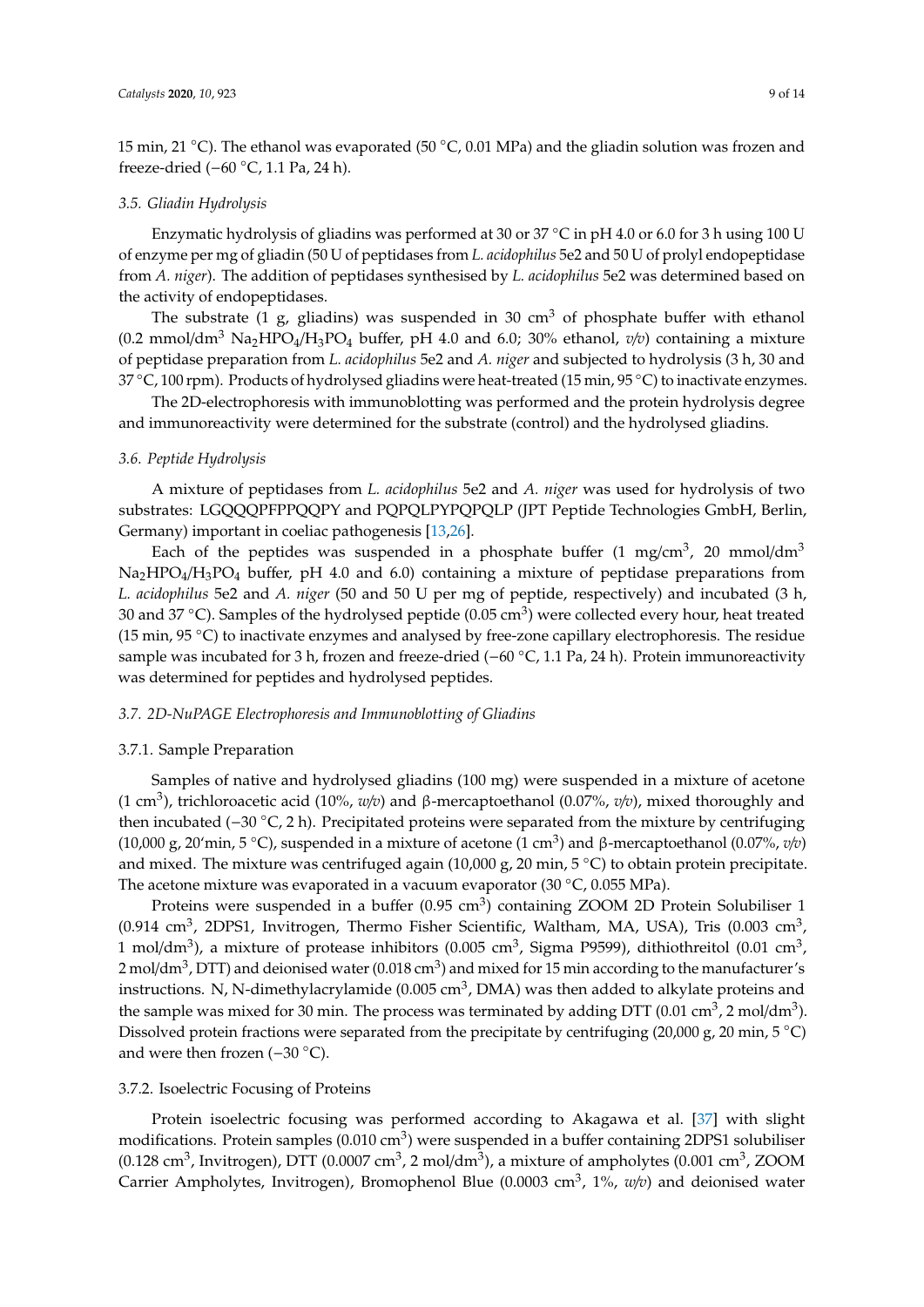15 min, 21 ◦C). The ethanol was evaporated (50 ◦C, 0.01 MPa) and the gliadin solution was frozen and freeze-dried (−60 ◦C, 1.1 Pa, 24 h).

#### *3.5. Gliadin Hydrolysis*

Enzymatic hydrolysis of gliadins was performed at 30 or 37  $\degree$ C in pH 4.0 or 6.0 for 3 h using 100 U of enzyme per mg of gliadin (50 U of peptidases from *L. acidophilus* 5e2 and 50 U of prolyl endopeptidase from *A. niger*). The addition of peptidases synthesised by *L. acidophilus* 5e2 was determined based on the activity of endopeptidases.

The substrate (1 g, gliadins) was suspended in 30 cm<sup>3</sup> of phosphate buffer with ethanol  $(0.2 \text{ mmol/dm}^3 \text{ Na}_2 \text{HPO}_4/\text{H}_3 \text{PO}_4$  buffer, pH 4.0 and 6.0; 30% ethanol,  $v/v$ ) containing a mixture of peptidase preparation from *L. acidophilus* 5e2 and *A. niger* and subjected to hydrolysis (3 h, 30 and <sup>37</sup> ◦C, 100 rpm). Products of hydrolysed gliadins were heat-treated (15 min, 95 ◦C) to inactivate enzymes.

The 2D-electrophoresis with immunoblotting was performed and the protein hydrolysis degree and immunoreactivity were determined for the substrate (control) and the hydrolysed gliadins.

#### *3.6. Peptide Hydrolysis*

A mixture of peptidases from *L. acidophilus* 5e2 and *A. niger* was used for hydrolysis of two substrates: LGQQQPFPPQQPY and PQPQLPYPQPQLP (JPT Peptide Technologies GmbH, Berlin, Germany) important in coeliac pathogenesis [\[13,](#page-11-13)[26\]](#page-12-6).

Each of the peptides was suspended in a phosphate buffer (1 mg/cm<sup>3</sup>, 20 mmol/dm<sup>3</sup>  $Na<sub>2</sub>HPO<sub>4</sub>/H<sub>3</sub>PO<sub>4</sub>$  buffer, pH 4.0 and 6.0) containing a mixture of peptidase preparations from *L. acidophilus* 5e2 and *A. niger* (50 and 50 U per mg of peptide, respectively) and incubated (3 h, 30 and 37 °C). Samples of the hydrolysed peptide (0.05 cm<sup>3</sup>) were collected every hour, heat treated (15 min, 95 ◦C) to inactivate enzymes and analysed by free-zone capillary electrophoresis. The residue sample was incubated for 3 h, frozen and freeze-dried (−60 °C, 1.1 Pa, 24 h). Protein immunoreactivity was determined for peptides and hydrolysed peptides.

#### *3.7. 2D-NuPAGE Electrophoresis and Immunoblotting of Gliadins*

#### 3.7.1. Sample Preparation

Samples of native and hydrolysed gliadins (100 mg) were suspended in a mixture of acetone (1 cm<sup>3</sup> ), trichloroacetic acid (10%, *w*/*v*) and β-mercaptoethanol (0.07%, *v*/*v*), mixed thoroughly and then incubated (−30 ◦C, 2 h). Precipitated proteins were separated from the mixture by centrifuging (10,000 g, 20'min, 5 ◦C), suspended in a mixture of acetone (1 cm<sup>3</sup> ) and β-mercaptoethanol (0.07%, *v*/*v*) and mixed. The mixture was centrifuged again (10,000 g, 20 min, 5 °C) to obtain protein precipitate. The acetone mixture was evaporated in a vacuum evaporator (30 ◦C, 0.055 MPa).

Proteins were suspended in a buffer (0.95 cm<sup>3</sup>) containing ZOOM 2D Protein Solubiliser 1 (0.914 cm<sup>3</sup>, 2DPS1, Invitrogen, Thermo Fisher Scientific, Waltham, MA, USA), Tris (0.003 cm<sup>3</sup>, 1 mol/dm<sup>3</sup>), a mixture of protease inhibitors (0.005 cm<sup>3</sup>, Sigma P9599), dithiothreitol (0.01 cm<sup>3</sup>, 2 mol/dm $^3$ , DTT) and deionised water (0.018 cm $^3$ ) and mixed for 15 min according to the manufacturer's instructions. N, N-dimethylacrylamide (0.005 cm<sup>3</sup>, DMA) was then added to alkylate proteins and the sample was mixed for 30 min. The process was terminated by adding DTT (0.01 cm<sup>3</sup>, 2 mol/dm<sup>3</sup>). Dissolved protein fractions were separated from the precipitate by centrifuging (20,000 g, 20 min, 5 °C) and were then frozen (−30 ◦C).

#### 3.7.2. Isoelectric Focusing of Proteins

Protein isoelectric focusing was performed according to Akagawa et al. [\[37\]](#page-13-0) with slight modifications. Protein samples (0.010 cm<sup>3</sup>) were suspended in a buffer containing 2DPS1 solubiliser (0.128 cm<sup>3</sup>, Invitrogen), DTT (0.0007 cm<sup>3</sup>, 2 mol/dm<sup>3</sup>), a mixture of ampholytes (0.001 cm<sup>3</sup>, ZOOM Carrier Ampholytes, Invitrogen), Bromophenol Blue (0.0003 cm<sup>3</sup>, 1%, w/v) and deionised water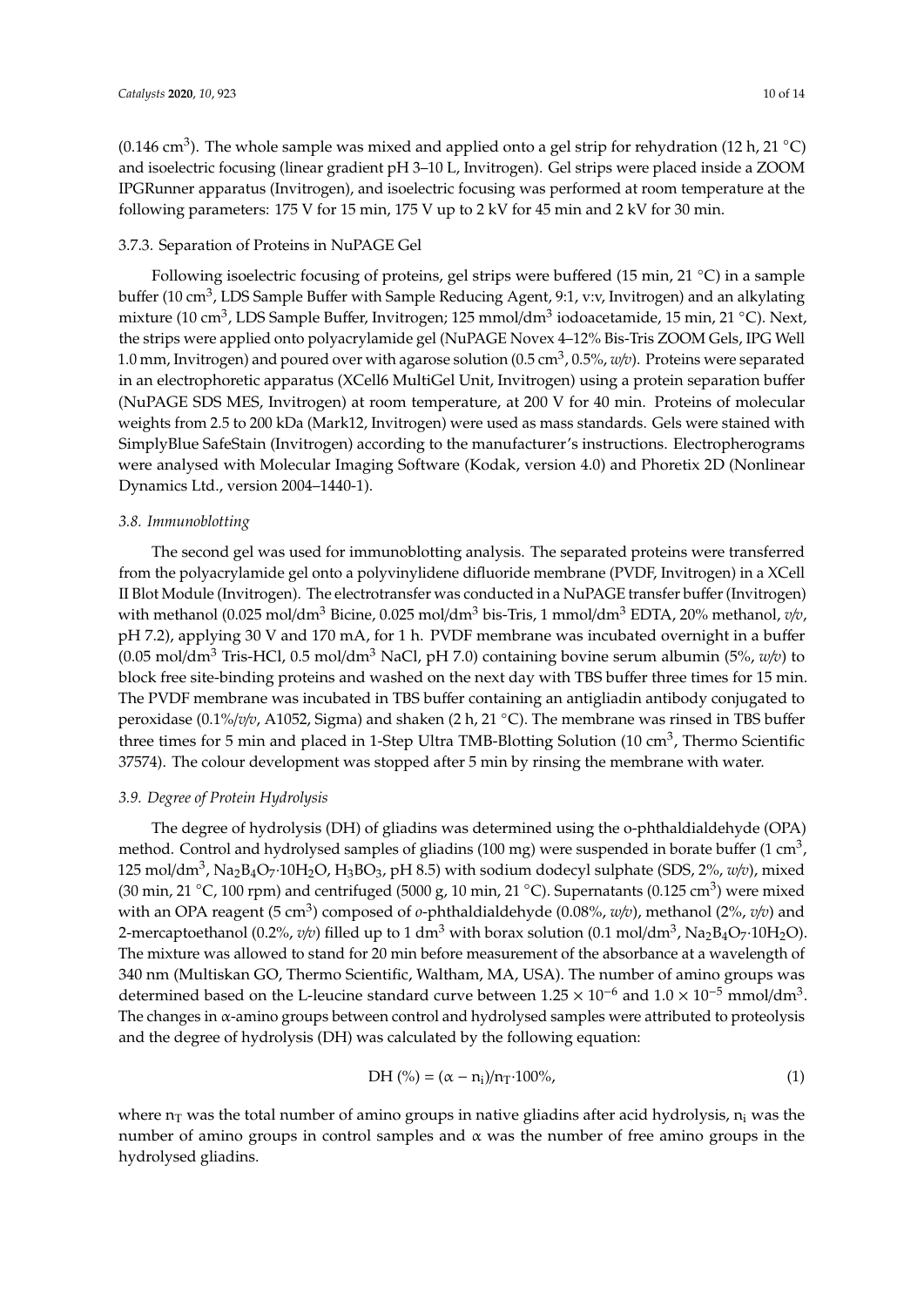(0.146 cm<sup>3</sup>). The whole sample was mixed and applied onto a gel strip for rehydration (12 h, 21 °C) and isoelectric focusing (linear gradient pH 3–10 L, Invitrogen). Gel strips were placed inside a ZOOM IPGRunner apparatus (Invitrogen), and isoelectric focusing was performed at room temperature at the following parameters: 175 V for 15 min, 175 V up to 2 kV for 45 min and 2 kV for 30 min.

#### 3.7.3. Separation of Proteins in NuPAGE Gel

Following isoelectric focusing of proteins, gel strips were buffered (15 min, 21 ◦C) in a sample buffer (10 cm<sup>3</sup>, LDS Sample Buffer with Sample Reducing Agent, 9:1, v:v, Invitrogen) and an alkylating mixture (10 cm<sup>3</sup>, LDS Sample Buffer, Invitrogen; 125 mmol/dm<sup>3</sup> iodoacetamide, 15 min, 21 °C). Next, the strips were applied onto polyacrylamide gel (NuPAGE Novex 4–12% Bis-Tris ZOOM Gels, IPG Well 1.0 mm, Invitrogen) and poured over with agarose solution (0.5 cm<sup>3</sup> , 0.5%, *w*/*v*). Proteins were separated in an electrophoretic apparatus (XCell6 MultiGel Unit, Invitrogen) using a protein separation buffer (NuPAGE SDS MES, Invitrogen) at room temperature, at 200 V for 40 min. Proteins of molecular weights from 2.5 to 200 kDa (Mark12, Invitrogen) were used as mass standards. Gels were stained with SimplyBlue SafeStain (Invitrogen) according to the manufacturer's instructions. Electropherograms were analysed with Molecular Imaging Software (Kodak, version 4.0) and Phoretix 2D (Nonlinear Dynamics Ltd., version 2004–1440-1).

#### *3.8. Immunoblotting*

The second gel was used for immunoblotting analysis. The separated proteins were transferred from the polyacrylamide gel onto a polyvinylidene difluoride membrane (PVDF, Invitrogen) in a XCell II Blot Module (Invitrogen). The electrotransfer was conducted in a NuPAGE transfer buffer (Invitrogen) with methanol (0.025 mol/dm<sup>3</sup> Bicine, 0.025 mol/dm<sup>3</sup> bis-Tris, 1 mmol/dm<sup>3</sup> EDTA, 20% methanol, *v/v*, pH 7.2), applying 30 V and 170 mA, for 1 h. PVDF membrane was incubated overnight in a buffer  $(0.05 \text{ mol/dm}^3 \text{ Tris-HCl}, 0.5 \text{ mol/dm}^3 \text{ NaCl}, \text{pH } 7.0)$  containing bovine serum albumin  $(5\%, w/v)$  to block free site-binding proteins and washed on the next day with TBS buffer three times for 15 min. The PVDF membrane was incubated in TBS buffer containing an antigliadin antibody conjugated to peroxidase (0.1%/*v*/*v*, A1052, Sigma) and shaken (2 h, 21 ◦C). The membrane was rinsed in TBS buffer three times for 5 min and placed in 1-Step Ultra TMB-Blotting Solution (10 cm<sup>3</sup>, Thermo Scientific 37574). The colour development was stopped after 5 min by rinsing the membrane with water.

#### *3.9. Degree of Protein Hydrolysis*

The degree of hydrolysis (DH) of gliadins was determined using the o-phthaldialdehyde (OPA) method. Control and hydrolysed samples of gliadins (100 mg) were suspended in borate buffer (1 cm<sup>3</sup>, 125 mol/dm<sup>3</sup> , Na2B4O7·10H2O, H3BO3, pH 8.5) with sodium dodecyl sulphate (SDS, 2%, *w*/*v*), mixed (30 min, 21  $^{\circ}$ C, 100 rpm) and centrifuged (5000 g, 10 min, 21  $^{\circ}$ C). Supernatants (0.125 cm<sup>3</sup>) were mixed with an OPA reagent (5 cm<sup>3</sup>) composed of *o*-phthaldialdehyde (0.08%, *w/v*), methanol (2%, *v/v*) and 2-mercaptoethanol (0.2%*, v/v*) filled up to 1 dm<sup>3</sup> with borax solution (0.1 mol/dm<sup>3</sup>, Na<sub>2</sub>B<sub>4</sub>O<sub>7</sub>·10H<sub>2</sub>O). The mixture was allowed to stand for 20 min before measurement of the absorbance at a wavelength of 340 nm (Multiskan GO, Thermo Scientific, Waltham, MA, USA). The number of amino groups was determined based on the L-leucine standard curve between  $1.25 \times 10^{-6}$  and  $1.0 \times 10^{-5}$  mmol/dm<sup>3</sup>. The changes in α-amino groups between control and hydrolysed samples were attributed to proteolysis and the degree of hydrolysis (DH) was calculated by the following equation:

$$
DH (\% ) = (\alpha - n_i)/n_T \cdot 100\%, \tag{1}
$$

where  $n<sub>T</sub>$  was the total number of amino groups in native gliadins after acid hydrolysis,  $n<sub>i</sub>$  was the number of amino groups in control samples and  $\alpha$  was the number of free amino groups in the hydrolysed gliadins.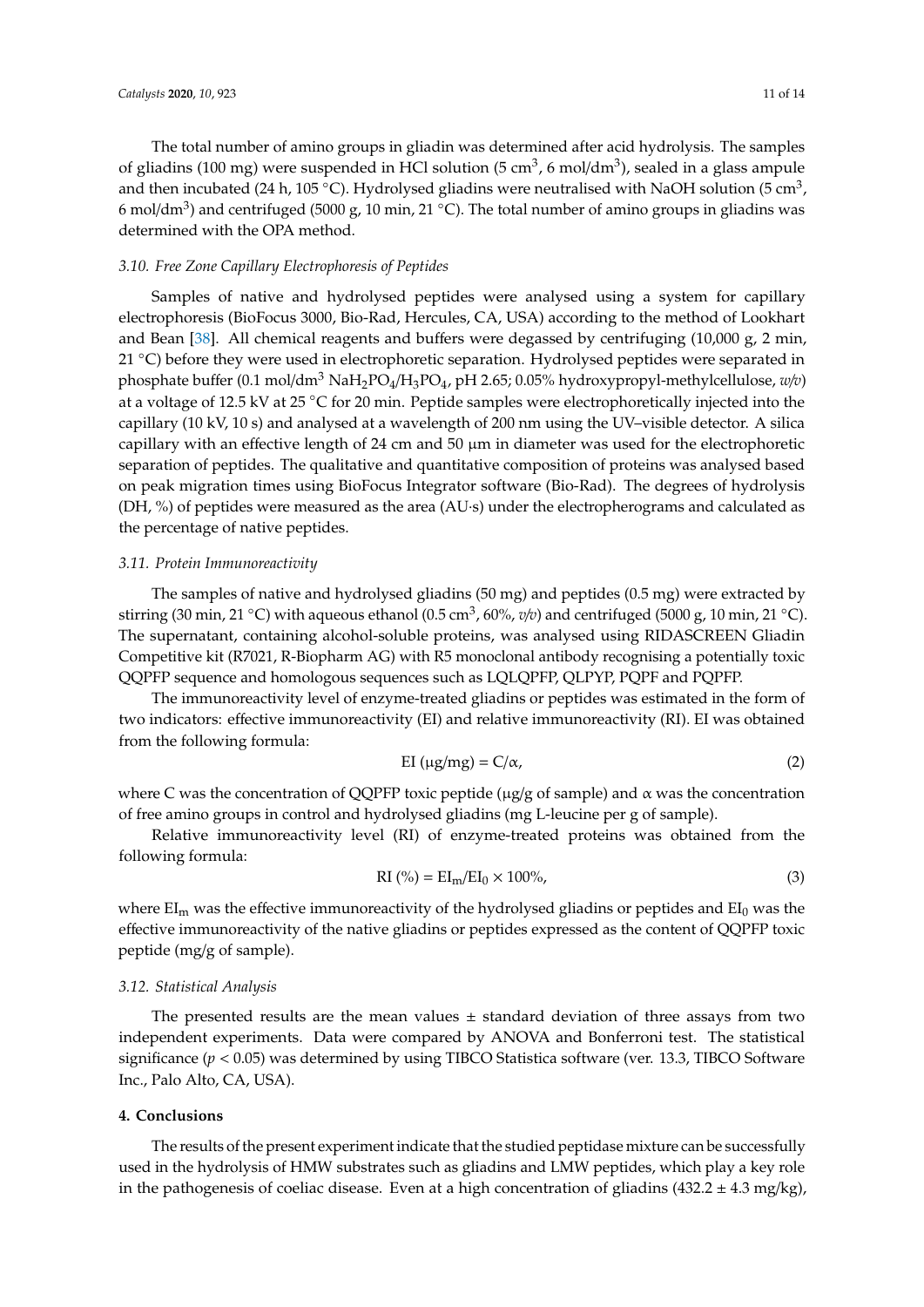The total number of amino groups in gliadin was determined after acid hydrolysis. The samples of gliadins (100 mg) were suspended in HCl solution (5 cm<sup>3</sup>, 6 mol/dm<sup>3</sup>), sealed in a glass ampule and then incubated (24 h, 105 °C). Hydrolysed gliadins were neutralised with NaOH solution (5 cm<sup>3</sup>, 6 mol/dm<sup>3</sup>) and centrifuged (5000 g, 10 min, 21 °C). The total number of amino groups in gliadins was determined with the OPA method.

#### *3.10. Free Zone Capillary Electrophoresis of Peptides*

Samples of native and hydrolysed peptides were analysed using a system for capillary electrophoresis (BioFocus 3000, Bio-Rad, Hercules, CA, USA) according to the method of Lookhart and Bean [\[38\]](#page-13-1). All chemical reagents and buffers were degassed by centrifuging (10,000 g, 2 min, 21 °C) before they were used in electrophoretic separation. Hydrolysed peptides were separated in phosphate buffer (0.1 mol/dm<sup>3</sup> NaH2PO4/H3PO4, pH 2.65; 0.05% hydroxypropyl-methylcellulose, *w*/*v*) at a voltage of 12.5 kV at 25 ◦C for 20 min. Peptide samples were electrophoretically injected into the capillary (10 kV, 10 s) and analysed at a wavelength of 200 nm using the UV–visible detector. A silica capillary with an effective length of 24 cm and 50  $\mu$ m in diameter was used for the electrophoretic separation of peptides. The qualitative and quantitative composition of proteins was analysed based on peak migration times using BioFocus Integrator software (Bio-Rad). The degrees of hydrolysis (DH, %) of peptides were measured as the area (AU·s) under the electropherograms and calculated as the percentage of native peptides.

#### *3.11. Protein Immunoreactivity*

The samples of native and hydrolysed gliadins (50 mg) and peptides (0.5 mg) were extracted by stirring (30 min, 21 ◦C) with aqueous ethanol (0.5 cm<sup>3</sup> , 60%, *<sup>v</sup>*/*v*) and centrifuged (5000 g, 10 min, 21 ◦C). The supernatant, containing alcohol-soluble proteins, was analysed using RIDASCREEN Gliadin Competitive kit (R7021, R-Biopharm AG) with R5 monoclonal antibody recognising a potentially toxic QQPFP sequence and homologous sequences such as LQLQPFP, QLPYP, PQPF and PQPFP.

The immunoreactivity level of enzyme-treated gliadins or peptides was estimated in the form of two indicators: effective immunoreactivity (EI) and relative immunoreactivity (RI). EI was obtained from the following formula:

$$
EI(\mu g/mg) = C/\alpha,
$$
\n(2)

where C was the concentration of QQPFP toxic peptide ( $\mu$ g/g of sample) and  $\alpha$  was the concentration of free amino groups in control and hydrolysed gliadins (mg L-leucine per g of sample).

Relative immunoreactivity level (RI) of enzyme-treated proteins was obtained from the following formula:

$$
RI(\%) = EIm/EI0 \times 100\%,
$$
\n(3)

where  $EI_m$  was the effective immunoreactivity of the hydrolysed gliadins or peptides and  $EI_0$  was the effective immunoreactivity of the native gliadins or peptides expressed as the content of QQPFP toxic peptide (mg/g of sample).

#### *3.12. Statistical Analysis*

The presented results are the mean values  $\pm$  standard deviation of three assays from two independent experiments. Data were compared by ANOVA and Bonferroni test. The statistical significance ( $p < 0.05$ ) was determined by using TIBCO Statistica software (ver. 13.3, TIBCO Software Inc., Palo Alto, CA, USA).

#### **4. Conclusions**

The results of the present experiment indicate that the studied peptidase mixture can be successfully used in the hydrolysis of HMW substrates such as gliadins and LMW peptides, which play a key role in the pathogenesis of coeliac disease. Even at a high concentration of gliadins  $(432.2 \pm 4.3 \text{ mg/kg})$ ,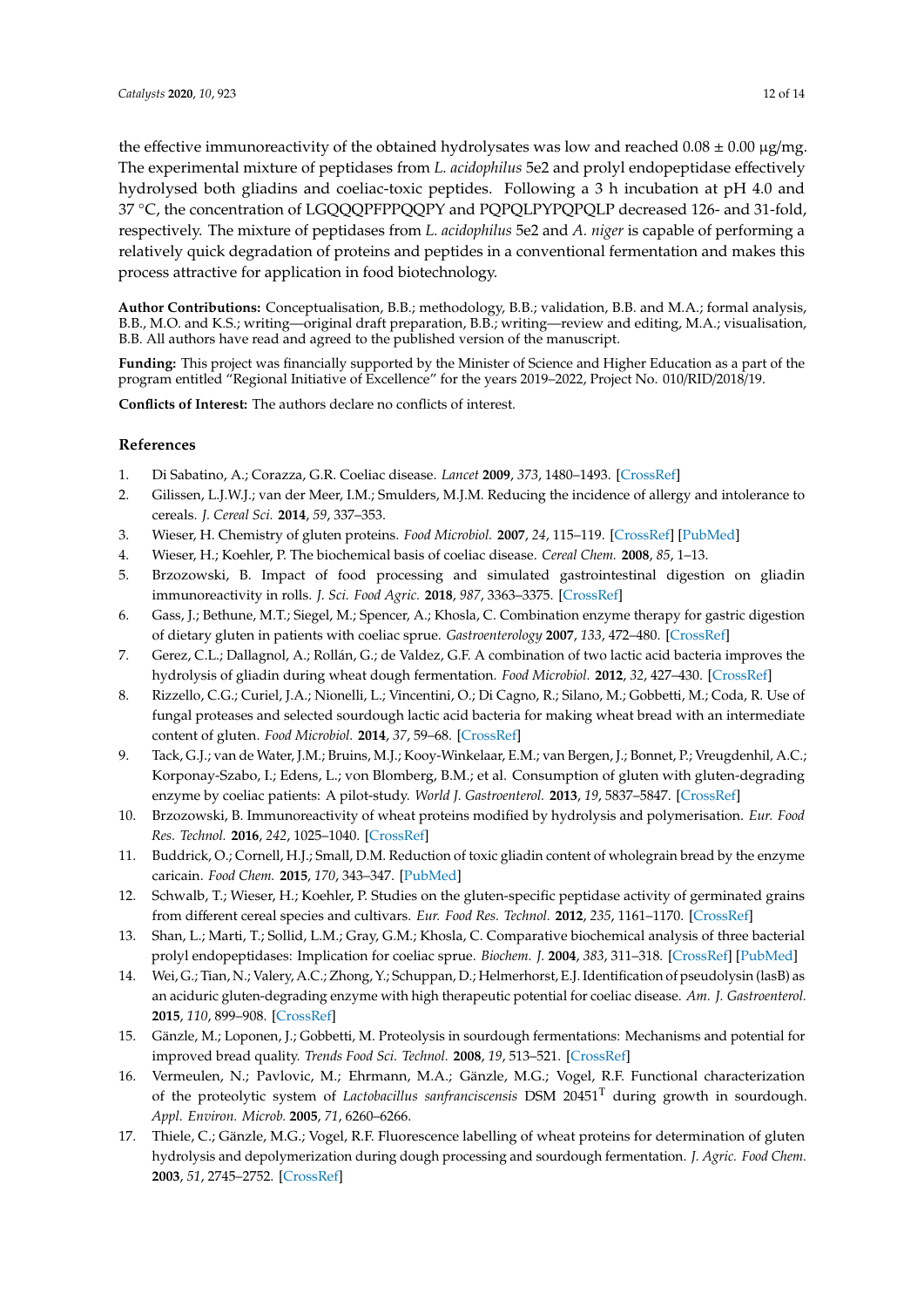the effective immunoreactivity of the obtained hydrolysates was low and reached  $0.08 \pm 0.00 \,\mu g/mg$ . The experimental mixture of peptidases from *L. acidophilus* 5e2 and prolyl endopeptidase effectively hydrolysed both gliadins and coeliac-toxic peptides. Following a 3 h incubation at pH 4.0 and 37 ◦C, the concentration of LGQQQPFPPQQPY and PQPQLPYPQPQLP decreased 126- and 31-fold, respectively. The mixture of peptidases from *L. acidophilus* 5e2 and *A. niger* is capable of performing a relatively quick degradation of proteins and peptides in a conventional fermentation and makes this process attractive for application in food biotechnology.

**Author Contributions:** Conceptualisation, B.B.; methodology, B.B.; validation, B.B. and M.A.; formal analysis, B.B., M.O. and K.S.; writing—original draft preparation, B.B.; writing—review and editing, M.A.; visualisation, B.B. All authors have read and agreed to the published version of the manuscript.

**Funding:** This project was financially supported by the Minister of Science and Higher Education as a part of the program entitled "Regional Initiative of Excellence" for the years 2019–2022, Project No. 010/RID/2018/19.

**Conflicts of Interest:** The authors declare no conflicts of interest.

# **References**

- <span id="page-11-0"></span>1. Di Sabatino, A.; Corazza, G.R. Coeliac disease. *Lancet* **2009**, *373*, 1480–1493. [\[CrossRef\]](http://dx.doi.org/10.1016/S0140-6736(09)60254-3)
- <span id="page-11-1"></span>2. Gilissen, L.J.W.J.; van der Meer, I.M.; Smulders, M.J.M. Reducing the incidence of allergy and intolerance to cereals. *J. Cereal Sci.* **2014**, *59*, 337–353.
- <span id="page-11-2"></span>3. Wieser, H. Chemistry of gluten proteins. *Food Microbiol.* **2007**, *24*, 115–119. [\[CrossRef\]](http://dx.doi.org/10.1016/j.fm.2006.07.004) [\[PubMed\]](http://www.ncbi.nlm.nih.gov/pubmed/17008153)
- <span id="page-11-3"></span>4. Wieser, H.; Koehler, P. The biochemical basis of coeliac disease. *Cereal Chem.* **2008**, *85*, 1–13.
- <span id="page-11-4"></span>5. Brzozowski, B. Impact of food processing and simulated gastrointestinal digestion on gliadin immunoreactivity in rolls. *J. Sci. Food Agric.* **2018**, *987*, 3363–3375. [\[CrossRef\]](http://dx.doi.org/10.1002/jsfa.8847)
- <span id="page-11-6"></span>6. Gass, J.; Bethune, M.T.; Siegel, M.; Spencer, A.; Khosla, C. Combination enzyme therapy for gastric digestion of dietary gluten in patients with coeliac sprue. *Gastroenterology* **2007**, *133*, 472–480. [\[CrossRef\]](http://dx.doi.org/10.1053/j.gastro.2007.05.028)
- 7. Gerez, C.L.; Dallagnol, A.; Rollán, G.; de Valdez, G.F. A combination of two lactic acid bacteria improves the hydrolysis of gliadin during wheat dough fermentation. *Food Microbiol.* **2012**, *32*, 427–430. [\[CrossRef\]](http://dx.doi.org/10.1016/j.fm.2012.06.007)
- <span id="page-11-7"></span>8. Rizzello, C.G.; Curiel, J.A.; Nionelli, L.; Vincentini, O.; Di Cagno, R.; Silano, M.; Gobbetti, M.; Coda, R. Use of fungal proteases and selected sourdough lactic acid bacteria for making wheat bread with an intermediate content of gluten. *Food Microbiol.* **2014**, *37*, 59–68. [\[CrossRef\]](http://dx.doi.org/10.1016/j.fm.2013.06.017)
- <span id="page-11-5"></span>9. Tack, G.J.; van de Water, J.M.; Bruins, M.J.; Kooy-Winkelaar, E.M.; van Bergen, J.; Bonnet, P.; Vreugdenhil, A.C.; Korponay-Szabo, I.; Edens, L.; von Blomberg, B.M.; et al. Consumption of gluten with gluten-degrading enzyme by coeliac patients: A pilot-study. *World J. Gastroenterol.* **2013**, *19*, 5837–5847. [\[CrossRef\]](http://dx.doi.org/10.3748/wjg.v19.i35.5837)
- <span id="page-11-12"></span>10. Brzozowski, B. Immunoreactivity of wheat proteins modified by hydrolysis and polymerisation. *Eur. Food Res. Technol.* **2016**, *242*, 1025–1040. [\[CrossRef\]](http://dx.doi.org/10.1007/s00217-015-2608-6)
- 11. Buddrick, O.; Cornell, H.J.; Small, D.M. Reduction of toxic gliadin content of wholegrain bread by the enzyme caricain. *Food Chem.* **2015**, *170*, 343–347. [\[PubMed\]](http://www.ncbi.nlm.nih.gov/pubmed/25306355)
- 12. Schwalb, T.; Wieser, H.; Koehler, P. Studies on the gluten-specific peptidase activity of germinated grains from different cereal species and cultivars. *Eur. Food Res. Technol.* **2012**, *235*, 1161–1170. [\[CrossRef\]](http://dx.doi.org/10.1007/s00217-012-1853-1)
- <span id="page-11-13"></span>13. Shan, L.; Marti, T.; Sollid, L.M.; Gray, G.M.; Khosla, C. Comparative biochemical analysis of three bacterial prolyl endopeptidases: Implication for coeliac sprue. *Biochem. J.* **2004**, *383*, 311–318. [\[CrossRef\]](http://dx.doi.org/10.1042/BJ20040907) [\[PubMed\]](http://www.ncbi.nlm.nih.gov/pubmed/15245330)
- <span id="page-11-8"></span>14. Wei, G.; Tian, N.; Valery, A.C.; Zhong, Y.; Schuppan, D.; Helmerhorst, E.J. Identification of pseudolysin (lasB) as an aciduric gluten-degrading enzyme with high therapeutic potential for coeliac disease. *Am. J. Gastroenterol.* **2015**, *110*, 899–908. [\[CrossRef\]](http://dx.doi.org/10.1038/ajg.2015.97)
- <span id="page-11-9"></span>15. Gänzle, M.; Loponen, J.; Gobbetti, M. Proteolysis in sourdough fermentations: Mechanisms and potential for improved bread quality. *Trends Food Sci. Technol.* **2008**, *19*, 513–521. [\[CrossRef\]](http://dx.doi.org/10.1016/j.tifs.2008.04.002)
- <span id="page-11-10"></span>16. Vermeulen, N.; Pavlovic, M.; Ehrmann, M.A.; Gänzle, M.G.; Vogel, R.F. Functional characterization of the proteolytic system of *Lactobacillus sanfranciscensis* DSM 20451<sup>T</sup> during growth in sourdough. *Appl. Environ. Microb.* **2005**, *71*, 6260–6266.
- <span id="page-11-11"></span>17. Thiele, C.; Gänzle, M.G.; Vogel, R.F. Fluorescence labelling of wheat proteins for determination of gluten hydrolysis and depolymerization during dough processing and sourdough fermentation. *J. Agric. Food Chem.* **2003**, *51*, 2745–2752. [\[CrossRef\]](http://dx.doi.org/10.1021/jf020897e)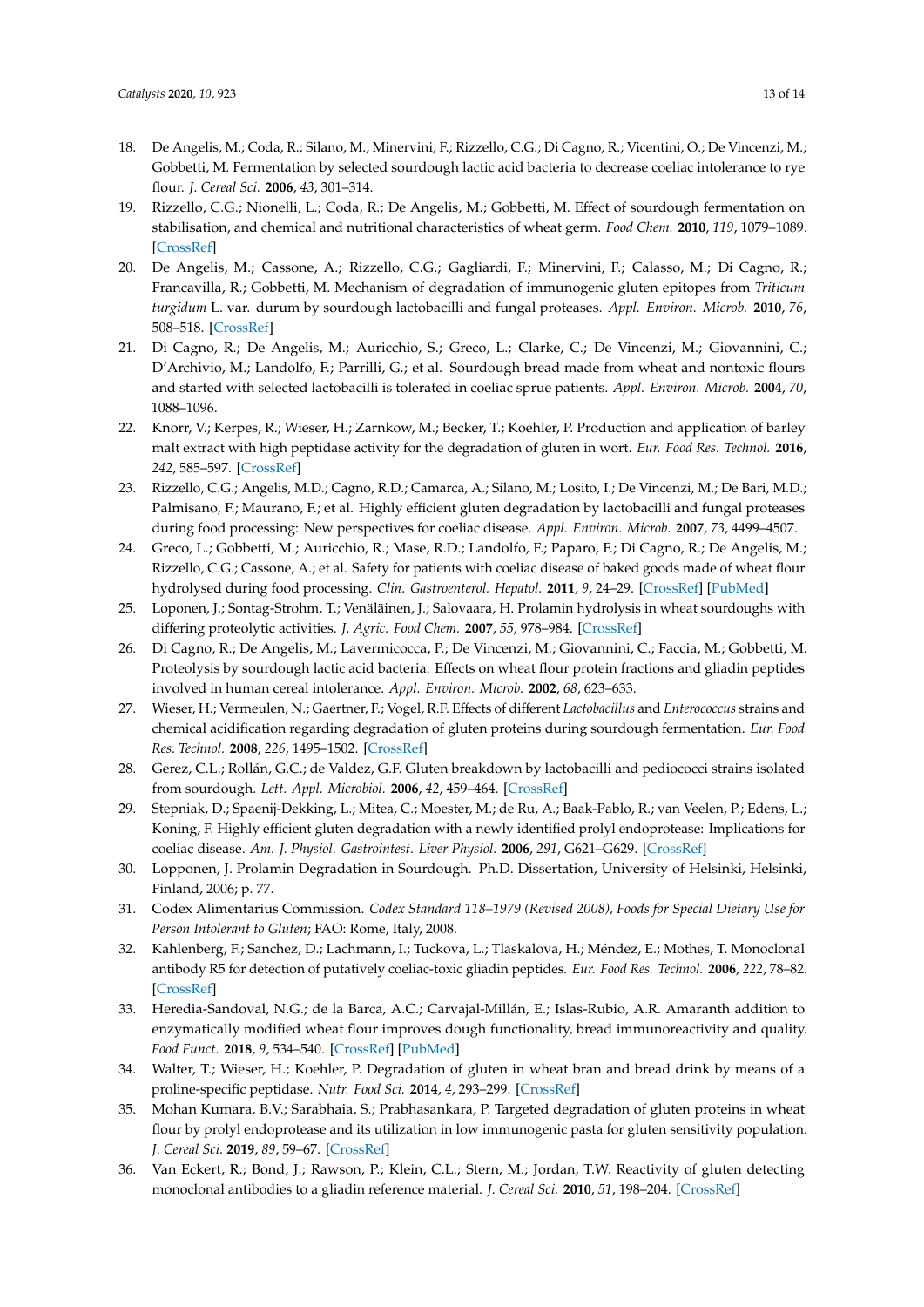- <span id="page-12-0"></span>18. De Angelis, M.; Coda, R.; Silano, M.; Minervini, F.; Rizzello, C.G.; Di Cagno, R.; Vicentini, O.; De Vincenzi, M.; Gobbetti, M. Fermentation by selected sourdough lactic acid bacteria to decrease coeliac intolerance to rye flour. *J. Cereal Sci.* **2006**, *43*, 301–314.
- <span id="page-12-1"></span>19. Rizzello, C.G.; Nionelli, L.; Coda, R.; De Angelis, M.; Gobbetti, M. Effect of sourdough fermentation on stabilisation, and chemical and nutritional characteristics of wheat germ. *Food Chem.* **2010**, *119*, 1079–1089. [\[CrossRef\]](http://dx.doi.org/10.1016/j.foodchem.2009.08.016)
- <span id="page-12-2"></span>20. De Angelis, M.; Cassone, A.; Rizzello, C.G.; Gagliardi, F.; Minervini, F.; Calasso, M.; Di Cagno, R.; Francavilla, R.; Gobbetti, M. Mechanism of degradation of immunogenic gluten epitopes from *Triticum turgidum* L. var. durum by sourdough lactobacilli and fungal proteases. *Appl. Environ. Microb.* **2010**, *76*, 508–518. [\[CrossRef\]](http://dx.doi.org/10.1128/AEM.01630-09)
- <span id="page-12-7"></span>21. Di Cagno, R.; De Angelis, M.; Auricchio, S.; Greco, L.; Clarke, C.; De Vincenzi, M.; Giovannini, C.; D'Archivio, M.; Landolfo, F.; Parrilli, G.; et al. Sourdough bread made from wheat and nontoxic flours and started with selected lactobacilli is tolerated in coeliac sprue patients. *Appl. Environ. Microb.* **2004**, *70*, 1088–1096.
- 22. Knorr, V.; Kerpes, R.; Wieser, H.; Zarnkow, M.; Becker, T.; Koehler, P. Production and application of barley malt extract with high peptidase activity for the degradation of gluten in wort. *Eur. Food Res. Technol.* **2016**, *242*, 585–597. [\[CrossRef\]](http://dx.doi.org/10.1007/s00217-015-2568-x)
- <span id="page-12-3"></span>23. Rizzello, C.G.; Angelis, M.D.; Cagno, R.D.; Camarca, A.; Silano, M.; Losito, I.; De Vincenzi, M.; De Bari, M.D.; Palmisano, F.; Maurano, F.; et al. Highly efficient gluten degradation by lactobacilli and fungal proteases during food processing: New perspectives for coeliac disease. *Appl. Environ. Microb.* **2007**, *73*, 4499–4507.
- <span id="page-12-4"></span>24. Greco, L.; Gobbetti, M.; Auricchio, R.; Mase, R.D.; Landolfo, F.; Paparo, F.; Di Cagno, R.; De Angelis, M.; Rizzello, C.G.; Cassone, A.; et al. Safety for patients with coeliac disease of baked goods made of wheat flour hydrolysed during food processing. *Clin. Gastroenterol. Hepatol.* **2011**, *9*, 24–29. [\[CrossRef\]](http://dx.doi.org/10.1016/j.cgh.2010.09.025) [\[PubMed\]](http://www.ncbi.nlm.nih.gov/pubmed/20951830)
- <span id="page-12-5"></span>25. Loponen, J.; Sontag-Strohm, T.; Venäläinen, J.; Salovaara, H. Prolamin hydrolysis in wheat sourdoughs with differing proteolytic activities. *J. Agric. Food Chem.* **2007**, *55*, 978–984. [\[CrossRef\]](http://dx.doi.org/10.1021/jf062755g)
- <span id="page-12-6"></span>26. Di Cagno, R.; De Angelis, M.; Lavermicocca, P.; De Vincenzi, M.; Giovannini, C.; Faccia, M.; Gobbetti, M. Proteolysis by sourdough lactic acid bacteria: Effects on wheat flour protein fractions and gliadin peptides involved in human cereal intolerance. *Appl. Environ. Microb.* **2002**, *68*, 623–633.
- <span id="page-12-8"></span>27. Wieser, H.; Vermeulen, N.; Gaertner, F.; Vogel, R.F. Effects of different *Lactobacillus* and *Enterococcus* strains and chemical acidification regarding degradation of gluten proteins during sourdough fermentation. *Eur. Food Res. Technol.* **2008**, *226*, 1495–1502. [\[CrossRef\]](http://dx.doi.org/10.1007/s00217-007-0681-1)
- <span id="page-12-9"></span>28. Gerez, C.L.; Rollán, G.C.; de Valdez, G.F. Gluten breakdown by lactobacilli and pediococci strains isolated from sourdough. *Lett. Appl. Microbiol.* **2006**, *42*, 459–464. [\[CrossRef\]](http://dx.doi.org/10.1111/j.1472-765X.2006.01889.x)
- <span id="page-12-10"></span>29. Stepniak, D.; Spaenij-Dekking, L.; Mitea, C.; Moester, M.; de Ru, A.; Baak-Pablo, R.; van Veelen, P.; Edens, L.; Koning, F. Highly efficient gluten degradation with a newly identified prolyl endoprotease: Implications for coeliac disease. *Am. J. Physiol. Gastrointest. Liver Physiol.* **2006**, *291*, G621–G629. [\[CrossRef\]](http://dx.doi.org/10.1152/ajpgi.00034.2006)
- <span id="page-12-11"></span>30. Lopponen, J. Prolamin Degradation in Sourdough. Ph.D. Dissertation, University of Helsinki, Helsinki, Finland, 2006; p. 77.
- <span id="page-12-12"></span>31. Codex Alimentarius Commission. *Codex Standard 118–1979 (Revised 2008), Foods for Special Dietary Use for Person Intolerant to Gluten*; FAO: Rome, Italy, 2008.
- <span id="page-12-13"></span>32. Kahlenberg, F.; Sanchez, D.; Lachmann, I.; Tuckova, L.; Tlaskalova, H.; Méndez, E.; Mothes, T. Monoclonal antibody R5 for detection of putatively coeliac-toxic gliadin peptides. *Eur. Food Res. Technol.* **2006**, *222*, 78–82. [\[CrossRef\]](http://dx.doi.org/10.1007/s00217-005-0100-4)
- <span id="page-12-14"></span>33. Heredia-Sandoval, N.G.; de la Barca, A.C.; Carvajal-Millán, E.; Islas-Rubio, A.R. Amaranth addition to enzymatically modified wheat flour improves dough functionality, bread immunoreactivity and quality. *Food Funct.* **2018**, *9*, 534–540. [\[CrossRef\]](http://dx.doi.org/10.1039/C7FO01332A) [\[PubMed\]](http://www.ncbi.nlm.nih.gov/pubmed/29260184)
- <span id="page-12-15"></span>34. Walter, T.; Wieser, H.; Koehler, P. Degradation of gluten in wheat bran and bread drink by means of a proline-specific peptidase. *Nutr. Food Sci.* **2014**, *4*, 293–299. [\[CrossRef\]](http://dx.doi.org/10.4172/2155-9600.1000293)
- <span id="page-12-16"></span>35. Mohan Kumara, B.V.; Sarabhaia, S.; Prabhasankara, P. Targeted degradation of gluten proteins in wheat flour by prolyl endoprotease and its utilization in low immunogenic pasta for gluten sensitivity population. *J. Cereal Sci.* **2019**, *89*, 59–67. [\[CrossRef\]](http://dx.doi.org/10.1016/j.jcs.2019.03.001)
- <span id="page-12-17"></span>36. Van Eckert, R.; Bond, J.; Rawson, P.; Klein, C.L.; Stern, M.; Jordan, T.W. Reactivity of gluten detecting monoclonal antibodies to a gliadin reference material. *J. Cereal Sci.* **2010**, *51*, 198–204. [\[CrossRef\]](http://dx.doi.org/10.1016/j.jcs.2009.11.012)